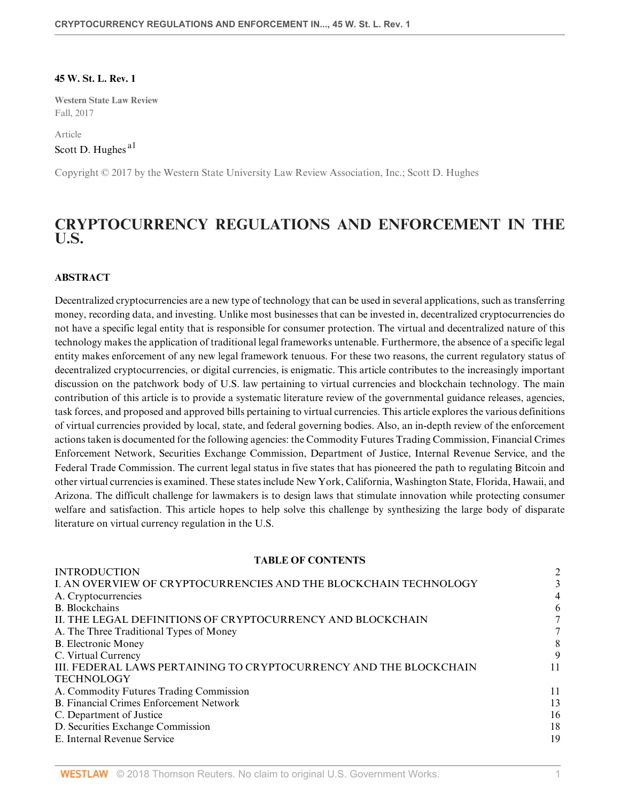#### **45 W. St. L. Rev. 1**

**Western State Law Review** Fall, 2017

<span id="page-0-0"></span>Article [Scott D. Hughes](http://www.westlaw.com/Link/Document/FullText?findType=h&pubNum=176284&cite=0422577901&originatingDoc=If5d353bd53f511e89bf199c0ee06c731&refType=RQ&originationContext=document&vr=3.0&rs=cblt1.0&transitionType=DocumentItem&contextData=(sc.Default))<sup>[a1](#page-16-0)</sup>

Copyright © 2017 by the Western State University Law Review Association, Inc.; Scott D. Hughes

# **CRYPTOCURRENCY REGULATIONS AND ENFORCEMENT IN THE U.S.**

#### **ABSTRACT**

Decentralized cryptocurrencies are a new type of technology that can be used in several applications, such as transferring money, recording data, and investing. Unlike most businesses that can be invested in, decentralized cryptocurrencies do not have a specific legal entity that is responsible for consumer protection. The virtual and decentralized nature of this technology makes the application of traditional legal frameworks untenable. Furthermore, the absence of a specific legal entity makes enforcement of any new legal framework tenuous. For these two reasons, the current regulatory status of decentralized cryptocurrencies, or digital currencies, is enigmatic. This article contributes to the increasingly important discussion on the patchwork body of U.S. law pertaining to virtual currencies and blockchain technology. The main contribution of this article is to provide a systematic literature review of the governmental guidance releases, agencies, task forces, and proposed and approved bills pertaining to virtual currencies. This article explores the various definitions of virtual currencies provided by local, state, and federal governing bodies. Also, an in-depth review of the enforcement actions taken is documented for the following agencies: the Commodity Futures Trading Commission, Financial Crimes Enforcement Network, Securities Exchange Commission, Department of Justice, Internal Revenue Service, and the Federal Trade Commission. The current legal status in five states that has pioneered the path to regulating Bitcoin and other virtual currencies is examined. These states include New York, California, Washington State, Florida, Hawaii, and Arizona. The difficult challenge for lawmakers is to design laws that stimulate innovation while protecting consumer welfare and satisfaction. This article hopes to help solve this challenge by synthesizing the large body of disparate literature on virtual currency regulation in the U.S.

#### **TABLE OF CONTENTS**

| <b>INTRODUCTION</b>                                               | $\overline{2}$ |
|-------------------------------------------------------------------|----------------|
| I. AN OVERVIEW OF CRYPTOCURRENCIES AND THE BLOCKCHAIN TECHNOLOGY  |                |
| A. Cryptocurrencies                                               | 4              |
| B. Blockchains                                                    | 6              |
| II. THE LEGAL DEFINITIONS OF CRYPTOCURRENCY AND BLOCKCHAIN        |                |
| A. The Three Traditional Types of Money                           |                |
| <b>B.</b> Electronic Money                                        | 8              |
| C. Virtual Currency                                               |                |
| III. FEDERAL LAWS PERTAINING TO CRYPTOCURRENCY AND THE BLOCKCHAIN | 11             |
| <b>TECHNOLOGY</b>                                                 |                |
| A. Commodity Futures Trading Commission                           | 11             |
| <b>B.</b> Financial Crimes Enforcement Network                    | 13             |
| C. Department of Justice                                          | 16             |
| D. Securities Exchange Commission                                 | 18             |
| E. Internal Revenue Service                                       | 19             |
|                                                                   |                |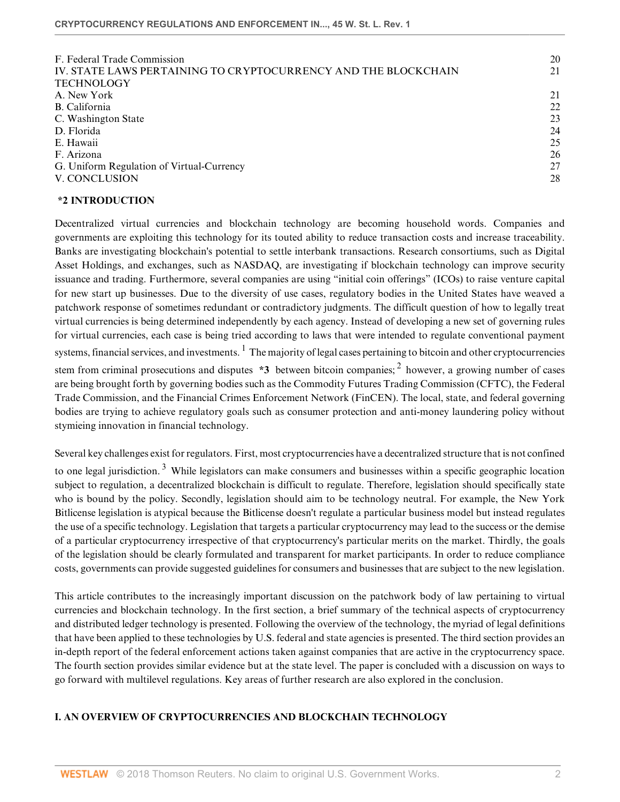| F. Federal Trade Commission                                    | 20 |
|----------------------------------------------------------------|----|
| IV. STATE LAWS PERTAINING TO CRYPTOCURRENCY AND THE BLOCKCHAIN | 21 |
| <b>TECHNOLOGY</b>                                              |    |
| A. New York                                                    | 21 |
| B. California                                                  | 22 |
| C. Washington State                                            | 23 |
| D. Florida                                                     | 24 |
| E. Hawaii                                                      | 25 |
| F. Arizona                                                     | 26 |
| G. Uniform Regulation of Virtual-Currency                      | 27 |
| V. CONCLUSION                                                  | 28 |
|                                                                |    |

#### <span id="page-1-0"></span>**\*2 INTRODUCTION**

Decentralized virtual currencies and blockchain technology are becoming household words. Companies and governments are exploiting this technology for its touted ability to reduce transaction costs and increase traceability. Banks are investigating blockchain's potential to settle interbank transactions. Research consortiums, such as Digital Asset Holdings, and exchanges, such as NASDAQ, are investigating if blockchain technology can improve security issuance and trading. Furthermore, several companies are using "initial coin offerings" (ICOs) to raise venture capital for new start up businesses. Due to the diversity of use cases, regulatory bodies in the United States have weaved a patchwork response of sometimes redundant or contradictory judgments. The difficult question of how to legally treat virtual currencies is being determined independently by each agency. Instead of developing a new set of governing rules for virtual currencies, each case is being tried according to laws that were intended to regulate conventional payment systems, financial services, and investments.  $^1$  $^1$  The majority of legal cases pertaining to bitcoin and other cryptocurrencies stem from criminal prosecutions and disputes **\*3** between bitcoin companies; <sup>[2](#page-16-3)</sup> however, a growing number of cases are being brought forth by governing bodies such as the Commodity Futures Trading Commission (CFTC), the Federal Trade Commission, and the Financial Crimes Enforcement Network (FinCEN). The local, state, and federal governing bodies are trying to achieve regulatory goals such as consumer protection and anti-money laundering policy without stymieing innovation in financial technology.

<span id="page-1-3"></span><span id="page-1-2"></span><span id="page-1-1"></span>Several key challenges exist for regulators. First, most cryptocurrencies have a decentralized structure that is not confined to one legal jurisdiction.<sup>[3](#page-16-4)</sup> While legislators can make consumers and businesses within a specific geographic location subject to regulation, a decentralized blockchain is difficult to regulate. Therefore, legislation should specifically state who is bound by the policy. Secondly, legislation should aim to be technology neutral. For example, the New York Bitlicense legislation is atypical because the Bitlicense doesn't regulate a particular business model but instead regulates the use of a specific technology. Legislation that targets a particular cryptocurrency may lead to the success or the demise of a particular cryptocurrency irrespective of that cryptocurrency's particular merits on the market. Thirdly, the goals of the legislation should be clearly formulated and transparent for market participants. In order to reduce compliance costs, governments can provide suggested guidelines for consumers and businesses that are subject to the new legislation.

This article contributes to the increasingly important discussion on the patchwork body of law pertaining to virtual currencies and blockchain technology. In the first section, a brief summary of the technical aspects of cryptocurrency and distributed ledger technology is presented. Following the overview of the technology, the myriad of legal definitions that have been applied to these technologies by U.S. federal and state agencies is presented. The third section provides an in-depth report of the federal enforcement actions taken against companies that are active in the cryptocurrency space. The fourth section provides similar evidence but at the state level. The paper is concluded with a discussion on ways to go forward with multilevel regulations. Key areas of further research are also explored in the conclusion.

## **I. AN OVERVIEW OF CRYPTOCURRENCIES AND BLOCKCHAIN TECHNOLOGY**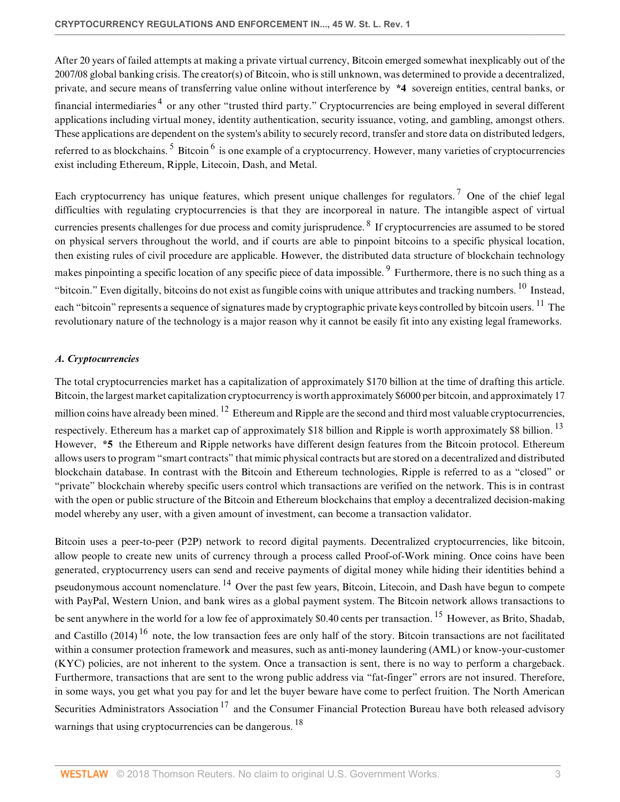<span id="page-2-1"></span>After 20 years of failed attempts at making a private virtual currency, Bitcoin emerged somewhat inexplicably out of the 2007/08 global banking crisis. The creator(s) of Bitcoin, who is still unknown, was determined to provide a decentralized, private, and secure means of transferring value online without interference by **\*4** sovereign entities, central banks, or financial intermediaries<sup>[4](#page-16-5)</sup> or any other "trusted third party." Cryptocurrencies are being employed in several different applications including virtual money, identity authentication, security issuance, voting, and gambling, amongst others. These applications are dependent on the system's ability to securely record, transfer and store data on distributed ledgers, referred to as blockchains. <sup>[5](#page-16-6)</sup> Bitcoin <sup>[6](#page-16-7)</sup> is one example of a cryptocurrency. However, many varieties of cryptocurrencies exist including Ethereum, Ripple, Litecoin, Dash, and Metal.

<span id="page-2-6"></span><span id="page-2-5"></span><span id="page-2-4"></span><span id="page-2-3"></span><span id="page-2-2"></span>Each cryptocurrency has unique features, which present unique challenges for regulators.<sup>[7](#page-16-8)</sup> One of the chief legal difficulties with regulating cryptocurrencies is that they are incorporeal in nature. The intangible aspect of virtual currencies presents challenges for due process and comity jurisprudence.  $8$  If cryptocurrencies are assumed to be stored on physical servers throughout the world, and if courts are able to pinpoint bitcoins to a specific physical location, then existing rules of civil procedure are applicable. However, the distributed data structure of blockchain technology makes pinpointing a specific location of any specific piece of data impossible. <sup>[9](#page-17-1)</sup> Furthermore, there is no such thing as a "bitcoin." Even digitally, bitcoins do not exist as fungible coins with unique attributes and tracking numbers. [10](#page-17-2) Instead, each "bitcoin" represents a sequence of signatures made by cryptographic private keys controlled by bitcoin users. <sup>[11](#page-17-3)</sup> The revolutionary nature of the technology is a major reason why it cannot be easily fit into any existing legal frameworks.

# <span id="page-2-8"></span><span id="page-2-7"></span><span id="page-2-0"></span>*A. Cryptocurrencies*

<span id="page-2-10"></span><span id="page-2-9"></span>The total cryptocurrencies market has a capitalization of approximately \$170 billion at the time of drafting this article. Bitcoin, the largest market capitalization cryptocurrency is worth approximately \$6000 per bitcoin, and approximately 17 million coins have already been mined.  $^{12}$  $^{12}$  $^{12}$  Ethereum and Ripple are the second and third most valuable cryptocurrencies, respectively. Ethereum has a market cap of approximately \$18 billion and Ripple is worth approximately \$8 billion.<sup>[13](#page-17-5)</sup> However, **\*5** the Ethereum and Ripple networks have different design features from the Bitcoin protocol. Ethereum allows users to program "smart contracts" that mimic physical contracts but are stored on a decentralized and distributed blockchain database. In contrast with the Bitcoin and Ethereum technologies, Ripple is referred to as a "closed" or "private" blockchain whereby specific users control which transactions are verified on the network. This is in contrast with the open or public structure of the Bitcoin and Ethereum blockchains that employ a decentralized decision-making model whereby any user, with a given amount of investment, can become a transaction validator.

<span id="page-2-15"></span><span id="page-2-14"></span><span id="page-2-13"></span><span id="page-2-12"></span><span id="page-2-11"></span>Bitcoin uses a peer-to-peer (P2P) network to record digital payments. Decentralized cryptocurrencies, like bitcoin, allow people to create new units of currency through a process called Proof-of-Work mining. Once coins have been generated, cryptocurrency users can send and receive payments of digital money while hiding their identities behind a pseudonymous account nomenclature. [14](#page-17-6) Over the past few years, Bitcoin, Litecoin, and Dash have begun to compete with PayPal, Western Union, and bank wires as a global payment system. The Bitcoin network allows transactions to be sent anywhere in the world for a low fee of approximately \$0.40 cents per transaction.<sup>[15](#page-17-7)</sup> However, as Brito, Shadab, and Castillo  $(2014)$ <sup>[16](#page-17-8)</sup> note, the low transaction fees are only half of the story. Bitcoin transactions are not facilitated within a consumer protection framework and measures, such as anti-money laundering (AML) or know-your-customer (KYC) policies, are not inherent to the system. Once a transaction is sent, there is no way to perform a chargeback. Furthermore, transactions that are sent to the wrong public address via "fat-finger" errors are not insured. Therefore, in some ways, you get what you pay for and let the buyer beware have come to perfect fruition. The North American Securities Administrators Association<sup>[17](#page-17-9)</sup> and the Consumer Financial Protection Bureau have both released advisory warnings that using cryptocurrencies can be dangerous. <sup>[18](#page-17-10)</sup>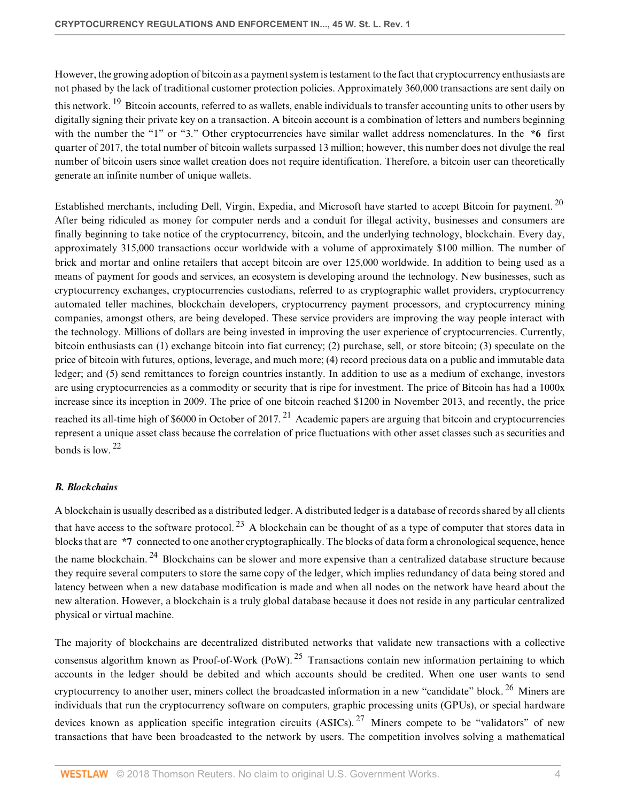<span id="page-3-1"></span>However, the growing adoption of bitcoin as a payment system is testament to the fact that cryptocurrency enthusiasts are not phased by the lack of traditional customer protection policies. Approximately 360,000 transactions are sent daily on this network. <sup>[19](#page-17-11)</sup> Bitcoin accounts, referred to as wallets, enable individuals to transfer accounting units to other users by digitally signing their private key on a transaction. A bitcoin account is a combination of letters and numbers beginning with the number the "1" or "3." Other cryptocurrencies have similar wallet address nomenclatures. In the  $*6$  first quarter of 2017, the total number of bitcoin wallets surpassed 13 million; however, this number does not divulge the real number of bitcoin users since wallet creation does not require identification. Therefore, a bitcoin user can theoretically generate an infinite number of unique wallets.

<span id="page-3-2"></span>Established merchants, including Dell, Virgin, Expedia, and Microsoft have started to accept Bitcoin for payment. [20](#page-17-12) After being ridiculed as money for computer nerds and a conduit for illegal activity, businesses and consumers are finally beginning to take notice of the cryptocurrency, bitcoin, and the underlying technology, blockchain. Every day, approximately 315,000 transactions occur worldwide with a volume of approximately \$100 million. The number of brick and mortar and online retailers that accept bitcoin are over 125,000 worldwide. In addition to being used as a means of payment for goods and services, an ecosystem is developing around the technology. New businesses, such as cryptocurrency exchanges, cryptocurrencies custodians, referred to as cryptographic wallet providers, cryptocurrency automated teller machines, blockchain developers, cryptocurrency payment processors, and cryptocurrency mining companies, amongst others, are being developed. These service providers are improving the way people interact with the technology. Millions of dollars are being invested in improving the user experience of cryptocurrencies. Currently, bitcoin enthusiasts can (1) exchange bitcoin into fiat currency; (2) purchase, sell, or store bitcoin; (3) speculate on the price of bitcoin with futures, options, leverage, and much more; (4) record precious data on a public and immutable data ledger; and (5) send remittances to foreign countries instantly. In addition to use as a medium of exchange, investors are using cryptocurrencies as a commodity or security that is ripe for investment. The price of Bitcoin has had a 1000x increase since its inception in 2009. The price of one bitcoin reached \$1200 in November 2013, and recently, the price reached its all-time high of  $$6000$  in October of 2017.<sup>[21](#page-17-13)</sup> Academic papers are arguing that bitcoin and cryptocurrencies represent a unique asset class because the correlation of price fluctuations with other asset classes such as securities and bonds is low  $22$ 

## <span id="page-3-4"></span><span id="page-3-3"></span><span id="page-3-0"></span>*B. Blockchains*

<span id="page-3-6"></span><span id="page-3-5"></span>A blockchain is usually described as a distributed ledger. A distributed ledger is a database of records shared by all clients that have access to the software protocol.<sup>[23](#page-17-15)</sup> A blockchain can be thought of as a type of computer that stores data in blocks that are **\*7** connected to one another cryptographically. The blocks of data form a chronological sequence, hence the name blockchain. <sup>[24](#page-17-16)</sup> Blockchains can be slower and more expensive than a centralized database structure because they require several computers to store the same copy of the ledger, which implies redundancy of data being stored and latency between when a new database modification is made and when all nodes on the network have heard about the new alteration. However, a blockchain is a truly global database because it does not reside in any particular centralized physical or virtual machine.

<span id="page-3-9"></span><span id="page-3-8"></span><span id="page-3-7"></span>The majority of blockchains are decentralized distributed networks that validate new transactions with a collective consensus algorithm known as Proof-of-Work (PoW).<sup>[25](#page-17-17)</sup> Transactions contain new information pertaining to which accounts in the ledger should be debited and which accounts should be credited. When one user wants to send cryptocurrency to another user, miners collect the broadcasted information in a new "candidate" block.<sup>[26](#page-17-18)</sup> Miners are individuals that run the cryptocurrency software on computers, graphic processing units (GPUs), or special hardware devices known as application specific integration circuits  $(ASICs)$ . <sup>[27](#page-17-19)</sup> Miners compete to be "validators" of new transactions that have been broadcasted to the network by users. The competition involves solving a mathematical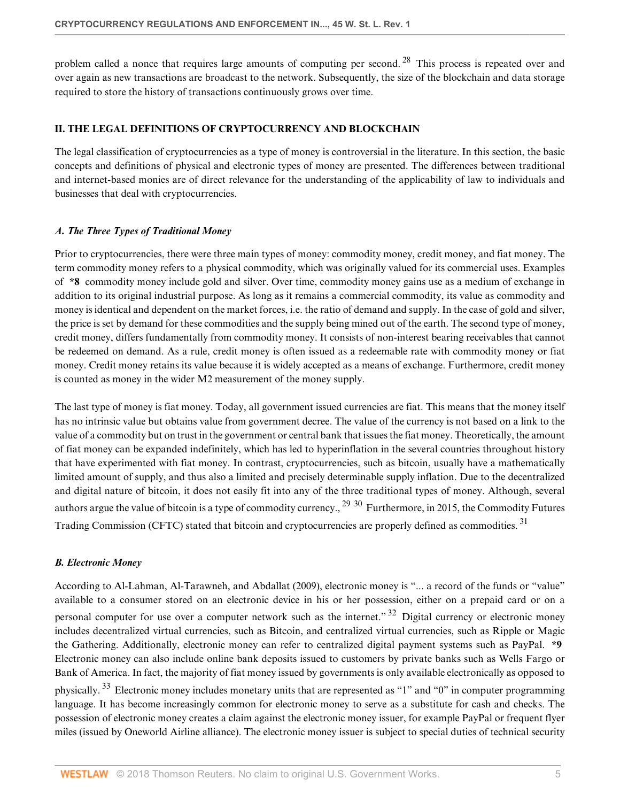<span id="page-4-2"></span>problem called a nonce that requires large amounts of computing per second.<sup>[28](#page-17-20)</sup> This process is repeated over and over again as new transactions are broadcast to the network. Subsequently, the size of the blockchain and data storage required to store the history of transactions continuously grows over time.

#### <span id="page-4-0"></span>**II. THE LEGAL DEFINITIONS OF CRYPTOCURRENCY AND BLOCKCHAIN**

The legal classification of cryptocurrencies as a type of money is controversial in the literature. In this section, the basic concepts and definitions of physical and electronic types of money are presented. The differences between traditional and internet-based monies are of direct relevance for the understanding of the applicability of law to individuals and businesses that deal with cryptocurrencies.

#### *A. The Three Types of Traditional Money*

Prior to cryptocurrencies, there were three main types of money: commodity money, credit money, and fiat money. The term commodity money refers to a physical commodity, which was originally valued for its commercial uses. Examples of **\*8** commodity money include gold and silver. Over time, commodity money gains use as a medium of exchange in addition to its original industrial purpose. As long as it remains a commercial commodity, its value as commodity and money is identical and dependent on the market forces, i.e. the ratio of demand and supply. In the case of gold and silver, the price is set by demand for these commodities and the supply being mined out of the earth. The second type of money, credit money, differs fundamentally from commodity money. It consists of non-interest bearing receivables that cannot be redeemed on demand. As a rule, credit money is often issued as a redeemable rate with commodity money or fiat money. Credit money retains its value because it is widely accepted as a means of exchange. Furthermore, credit money is counted as money in the wider M2 measurement of the money supply.

The last type of money is fiat money. Today, all government issued currencies are fiat. This means that the money itself has no intrinsic value but obtains value from government decree. The value of the currency is not based on a link to the value of a commodity but on trust in the government or central bank that issues the fiat money. Theoretically, the amount of fiat money can be expanded indefinitely, which has led to hyperinflation in the several countries throughout history that have experimented with fiat money. In contrast, cryptocurrencies, such as bitcoin, usually have a mathematically limited amount of supply, and thus also a limited and precisely determinable supply inflation. Due to the decentralized and digital nature of bitcoin, it does not easily fit into any of the three traditional types of money. Although, several authors argue the value of bitcoin is a type of commodity currency., <sup>[29](#page-17-21)</sup> [30](#page-18-0) Furthermore, in 2015, the Commodity Futures Trading Commission (CFTC) stated that bitcoin and cryptocurrencies are properly defined as commodities. [31](#page-18-1)

#### <span id="page-4-5"></span><span id="page-4-4"></span><span id="page-4-3"></span><span id="page-4-1"></span>*B. Electronic Money*

<span id="page-4-7"></span><span id="page-4-6"></span>According to Al-Lahman, Al-Tarawneh, and Abdallat (2009), electronic money is "... a record of the funds or "value" available to a consumer stored on an electronic device in his or her possession, either on a prepaid card or on a personal computer for use over a computer network such as the internet."<sup>[32](#page-18-2)</sup> Digital currency or electronic money includes decentralized virtual currencies, such as Bitcoin, and centralized virtual currencies, such as Ripple or Magic the Gathering. Additionally, electronic money can refer to centralized digital payment systems such as PayPal. **\*9** Electronic money can also include online bank deposits issued to customers by private banks such as Wells Fargo or Bank of America. In fact, the majority of fiat money issued by governments is only available electronically as opposed to physically. [33](#page-18-3) Electronic money includes monetary units that are represented as "1" and "0" in computer programming language. It has become increasingly common for electronic money to serve as a substitute for cash and checks. The possession of electronic money creates a claim against the electronic money issuer, for example PayPal or frequent flyer miles (issued by Oneworld Airline alliance). The electronic money issuer is subject to special duties of technical security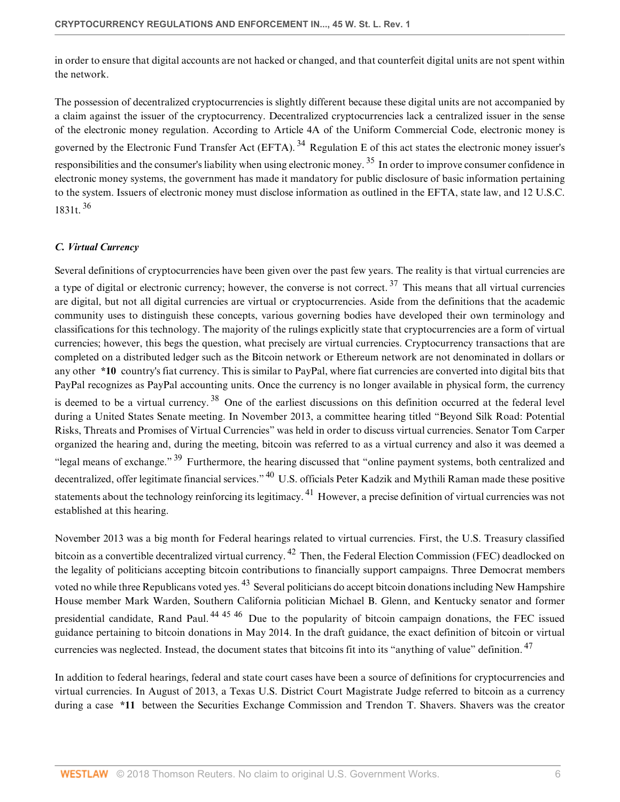in order to ensure that digital accounts are not hacked or changed, and that counterfeit digital units are not spent within the network.

<span id="page-5-2"></span><span id="page-5-1"></span>The possession of decentralized cryptocurrencies is slightly different because these digital units are not accompanied by a claim against the issuer of the cryptocurrency. Decentralized cryptocurrencies lack a centralized issuer in the sense of the electronic money regulation. According to Article 4A of the Uniform Commercial Code, electronic money is governed by the Electronic Fund Transfer Act (EFTA).<sup>[34](#page-18-4)</sup> Regulation E of this act states the electronic money issuer's responsibilities and the consumer's liability when using electronic money. [35](#page-18-5) In order to improve consumer confidence in electronic money systems, the government has made it mandatory for public disclosure of basic information pertaining to the system. Issuers of electronic money must disclose information as outlined in the EFTA, state law, and [12 U.S.C.](http://www.westlaw.com/Link/Document/FullText?findType=L&pubNum=1000546&cite=12USCAS1831T&originatingDoc=If5d353bd53f511e89bf199c0ee06c731&refType=LQ&originationContext=document&vr=3.0&rs=cblt1.0&transitionType=DocumentItem&contextData=(sc.Default)) [1831t](http://www.westlaw.com/Link/Document/FullText?findType=L&pubNum=1000546&cite=12USCAS1831T&originatingDoc=If5d353bd53f511e89bf199c0ee06c731&refType=LQ&originationContext=document&vr=3.0&rs=cblt1.0&transitionType=DocumentItem&contextData=(sc.Default)). [36](#page-18-6)

#### <span id="page-5-3"></span><span id="page-5-0"></span>*C. Virtual Currency*

<span id="page-5-5"></span><span id="page-5-4"></span>Several definitions of cryptocurrencies have been given over the past few years. The reality is that virtual currencies are a type of digital or electronic currency; however, the converse is not correct.  $37$  This means that all virtual currencies are digital, but not all digital currencies are virtual or cryptocurrencies. Aside from the definitions that the academic community uses to distinguish these concepts, various governing bodies have developed their own terminology and classifications for this technology. The majority of the rulings explicitly state that cryptocurrencies are a form of virtual currencies; however, this begs the question, what precisely are virtual currencies. Cryptocurrency transactions that are completed on a distributed ledger such as the Bitcoin network or Ethereum network are not denominated in dollars or any other **\*10** country's fiat currency. This is similar to PayPal, where fiat currencies are converted into digital bits that PayPal recognizes as PayPal accounting units. Once the currency is no longer available in physical form, the currency is deemed to be a virtual currency.<sup>[38](#page-18-8)</sup> One of the earliest discussions on this definition occurred at the federal level during a United States Senate meeting. In November 2013, a committee hearing titled "Beyond Silk Road: Potential Risks, Threats and Promises of Virtual Currencies" was held in order to discuss virtual currencies. Senator Tom Carper organized the hearing and, during the meeting, bitcoin was referred to as a virtual currency and also it was deemed a "legal means of exchange." [39](#page-18-9) Furthermore, the hearing discussed that "online payment systems, both centralized and decentralized, offer legitimate financial services." <sup>[40](#page-18-10)</sup> U.S. officials Peter Kadzik and Mythili Raman made these positive statements about the technology reinforcing its legitimacy. [41](#page-18-11) However, a precise definition of virtual currencies was not established at this hearing.

<span id="page-5-10"></span><span id="page-5-9"></span><span id="page-5-8"></span><span id="page-5-7"></span><span id="page-5-6"></span>November 2013 was a big month for Federal hearings related to virtual currencies. First, the U.S. Treasury classified bitcoin as a convertible decentralized virtual currency.<sup>[42](#page-18-12)</sup> Then, the Federal Election Commission (FEC) deadlocked on the legality of politicians accepting bitcoin contributions to financially support campaigns. Three Democrat members voted no while three Republicans voted yes. <sup>[43](#page-18-13)</sup> Several politicians do accept bitcoin donations including New Hampshire House member Mark Warden, Southern California politician Michael B. Glenn, and Kentucky senator and former presidential candidate, Rand Paul.<sup>[44](#page-18-14) [45](#page-18-15) [46](#page-18-16)</sup> Due to the popularity of bitcoin campaign donations, the FEC issued guidance pertaining to bitcoin donations in May 2014. In the draft guidance, the exact definition of bitcoin or virtual currencies was neglected. Instead, the document states that bitcoins fit into its "anything of value" definition. [47](#page-18-17)

<span id="page-5-14"></span><span id="page-5-13"></span><span id="page-5-12"></span><span id="page-5-11"></span>In addition to federal hearings, federal and state court cases have been a source of definitions for cryptocurrencies and virtual currencies. In August of 2013, a Texas U.S. District Court Magistrate Judge referred to bitcoin as a currency during a case **\*11** between the Securities Exchange Commission and Trendon T. Shavers. Shavers was the creator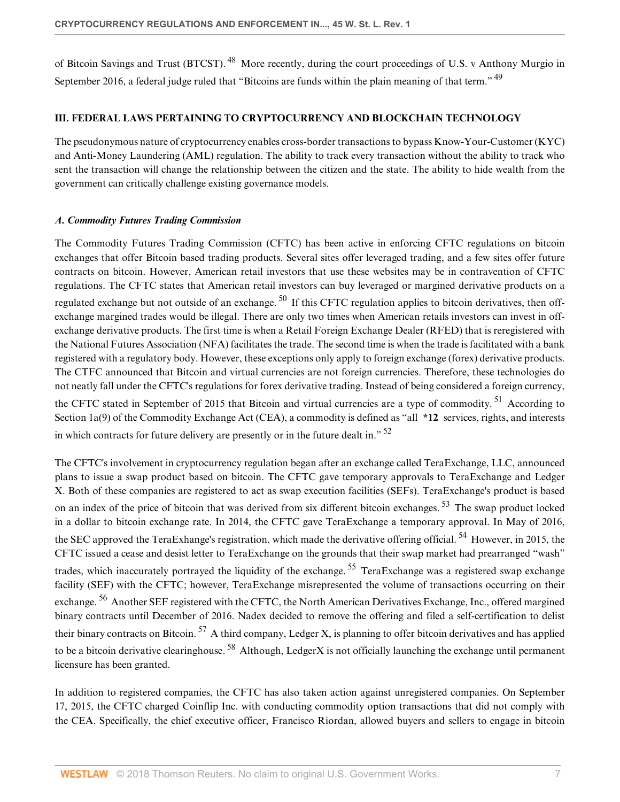<span id="page-6-2"></span><span id="page-6-1"></span>of Bitcoin Savings and Trust (BTCST). [48](#page-18-18) More recently, during the court proceedings of U.S. v Anthony Murgio in September 2016, a federal judge ruled that "Bitcoins are funds within the plain meaning of that term." <sup>[49](#page-18-19)</sup>

#### **III. FEDERAL LAWS PERTAINING TO CRYPTOCURRENCY AND BLOCKCHAIN TECHNOLOGY**

The pseudonymous nature of cryptocurrency enables cross-border transactions to bypass Know-Your-Customer (KYC) and Anti-Money Laundering (AML) regulation. The ability to track every transaction without the ability to track who sent the transaction will change the relationship between the citizen and the state. The ability to hide wealth from the government can critically challenge existing governance models.

#### <span id="page-6-0"></span>*A. Commodity Futures Trading Commission*

<span id="page-6-3"></span>The Commodity Futures Trading Commission (CFTC) has been active in enforcing CFTC regulations on bitcoin exchanges that offer Bitcoin based trading products. Several sites offer leveraged trading, and a few sites offer future contracts on bitcoin. However, American retail investors that use these websites may be in contravention of CFTC regulations. The CFTC states that American retail investors can buy leveraged or margined derivative products on a regulated exchange but not outside of an exchange.<sup>[50](#page-18-20)</sup> If this CFTC regulation applies to bitcoin derivatives, then offexchange margined trades would be illegal. There are only two times when American retails investors can invest in offexchange derivative products. The first time is when a Retail Foreign Exchange Dealer (RFED) that is reregistered with the National Futures Association (NFA) facilitates the trade. The second time is when the trade is facilitated with a bank registered with a regulatory body. However, these exceptions only apply to foreign exchange (forex) derivative products. The CTFC announced that Bitcoin and virtual currencies are not foreign currencies. Therefore, these technologies do not neatly fall under the CFTC's regulations for forex derivative trading. Instead of being considered a foreign currency, the CFTC stated in September of 2015 that Bitcoin and virtual currencies are a type of commodity.<sup>[51](#page-18-21)</sup> According to Section 1a(9) of the Commodity Exchange Act (CEA), a commodity is defined as "all **\*12** services, rights, and interests in which contracts for future delivery are presently or in the future dealt in."  $52$ 

<span id="page-6-8"></span><span id="page-6-7"></span><span id="page-6-6"></span><span id="page-6-5"></span><span id="page-6-4"></span>The CFTC's involvement in cryptocurrency regulation began after an exchange called TeraExchange, LLC, announced plans to issue a swap product based on bitcoin. The CFTC gave temporary approvals to TeraExchange and Ledger X. Both of these companies are registered to act as swap execution facilities (SEFs). TeraExchange's product is based on an index of the price of bitcoin that was derived from six different bitcoin exchanges. [53](#page-19-1) The swap product locked in a dollar to bitcoin exchange rate. In 2014, the CFTC gave TeraExchange a temporary approval. In May of 2016, the SEC approved the TeraExhange's registration, which made the derivative offering official.  $^{54}$  $^{54}$  $^{54}$  However, in 2015, the CFTC issued a cease and desist letter to TeraExchange on the grounds that their swap market had prearranged "wash" trades, which inaccurately portrayed the liquidity of the exchange.<sup>[55](#page-19-3)</sup> TeraExchange was a registered swap exchange facility (SEF) with the CFTC; however, TeraExchange misrepresented the volume of transactions occurring on their exchange.<sup>[56](#page-19-4)</sup> Another SEF registered with the CFTC, the North American Derivatives Exchange, Inc., offered margined binary contracts until December of 2016. Nadex decided to remove the offering and filed a self-certification to delist their binary contracts on Bitcoin.  $57$  A third company, Ledger X, is planning to offer bitcoin derivatives and has applied to be a bitcoin derivative clearinghouse.<sup>[58](#page-19-6)</sup> Although, LedgerX is not officially launching the exchange until permanent licensure has been granted.

<span id="page-6-11"></span><span id="page-6-10"></span><span id="page-6-9"></span>In addition to registered companies, the CFTC has also taken action against unregistered companies. On September 17, 2015, the CFTC charged Coinflip Inc. with conducting commodity option transactions that did not comply with the CEA. Specifically, the chief executive officer, Francisco Riordan, allowed buyers and sellers to engage in bitcoin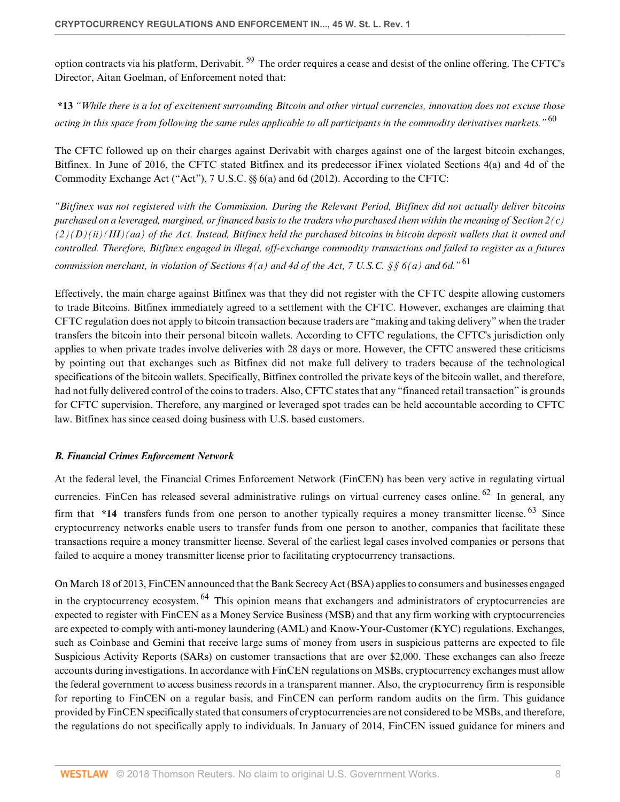<span id="page-7-1"></span>option contracts via his platform, Derivabit. [59](#page-19-7) The order requires a cease and desist of the online offering. The CFTC's Director, Aitan Goelman, of Enforcement noted that:

<span id="page-7-2"></span>**\*13** *"While there is a lot of excitement surrounding Bitcoin and other virtual currencies, innovation does not excuse those acting in this space from following the same rules applicable to all participants in the commodity derivatives markets."* [60](#page-19-8)

The CFTC followed up on their charges against Derivabit with charges against one of the largest bitcoin exchanges, Bitfinex. In June of 2016, the CFTC stated Bitfinex and its predecessor iFinex violated Sections 4(a) and 4d of the Commodity Exchange Act ("Act"), [7 U.S.C. §§ 6\(a\)](http://www.westlaw.com/Link/Document/FullText?findType=L&pubNum=1000546&cite=7USCAS6&originatingDoc=If5d353bd53f511e89bf199c0ee06c731&refType=RB&originationContext=document&vr=3.0&rs=cblt1.0&transitionType=DocumentItem&contextData=(sc.Default)#co_pp_8b3b0000958a4) and [6d \(2012\).](http://www.westlaw.com/Link/Document/FullText?findType=L&pubNum=1000546&cite=7USCAS6D&originatingDoc=If5d353bd53f511e89bf199c0ee06c731&refType=LQ&originationContext=document&vr=3.0&rs=cblt1.0&transitionType=DocumentItem&contextData=(sc.Default)) According to the CFTC:

*"Bitfinex was not registered with the Commission. During the Relevant Period, Bitfinex did not actually deliver bitcoins purchased on a leveraged, margined, or financed basis to the traders who purchased them within the meaning of Section 2(c) (2)(D)(ii)(III)(aa) of the Act. Instead, Bitfinex held the purchased bitcoins in bitcoin deposit wallets that it owned and controlled. Therefore, Bitfinex engaged in illegal, off-exchange commodity transactions and failed to register as a futures commission merchant, in violation of Sections 4(a) and 4d of the Act, [7 U.S.C. §§ 6\(a\)](http://www.westlaw.com/Link/Document/FullText?findType=L&pubNum=1000546&cite=7USCAS6&originatingDoc=If5d353bd53f511e89bf199c0ee06c731&refType=RB&originationContext=document&vr=3.0&rs=cblt1.0&transitionType=DocumentItem&contextData=(sc.Default)#co_pp_8b3b0000958a4) and [6d](http://www.westlaw.com/Link/Document/FullText?findType=L&pubNum=1000546&cite=7USCAS6D&originatingDoc=If5d353bd53f511e89bf199c0ee06c731&refType=LQ&originationContext=document&vr=3.0&rs=cblt1.0&transitionType=DocumentItem&contextData=(sc.Default))."* [61](#page-19-9)

<span id="page-7-3"></span>Effectively, the main charge against Bitfinex was that they did not register with the CFTC despite allowing customers to trade Bitcoins. Bitfinex immediately agreed to a settlement with the CFTC. However, exchanges are claiming that CFTC regulation does not apply to bitcoin transaction because traders are "making and taking delivery" when the trader transfers the bitcoin into their personal bitcoin wallets. According to CFTC regulations, the CFTC's jurisdiction only applies to when private trades involve deliveries with 28 days or more. However, the CFTC answered these criticisms by pointing out that exchanges such as Bitfinex did not make full delivery to traders because of the technological specifications of the bitcoin wallets. Specifically, Bitfinex controlled the private keys of the bitcoin wallet, and therefore, had not fully delivered control of the coins to traders. Also, CFTC states that any "financed retail transaction" is grounds for CFTC supervision. Therefore, any margined or leveraged spot trades can be held accountable according to CFTC law. Bitfinex has since ceased doing business with U.S. based customers.

## <span id="page-7-0"></span>*B. Financial Crimes Enforcement Network*

<span id="page-7-5"></span><span id="page-7-4"></span>At the federal level, the Financial Crimes Enforcement Network (FinCEN) has been very active in regulating virtual currencies. FinCen has released several administrative rulings on virtual currency cases online. <sup>[62](#page-19-10)</sup> In general, any firm that **\*14** transfers funds from one person to another typically requires a money transmitter license. [63](#page-19-11) Since cryptocurrency networks enable users to transfer funds from one person to another, companies that facilitate these transactions require a money transmitter license. Several of the earliest legal cases involved companies or persons that failed to acquire a money transmitter license prior to facilitating cryptocurrency transactions.

<span id="page-7-6"></span>On March 18 of 2013, FinCEN announced that the Bank Secrecy Act (BSA) applies to consumers and businesses engaged in the cryptocurrency ecosystem. <sup>[64](#page-19-12)</sup> This opinion means that exchangers and administrators of cryptocurrencies are expected to register with FinCEN as a Money Service Business (MSB) and that any firm working with cryptocurrencies are expected to comply with anti-money laundering (AML) and Know-Your-Customer (KYC) regulations. Exchanges, such as Coinbase and Gemini that receive large sums of money from users in suspicious patterns are expected to file Suspicious Activity Reports (SARs) on customer transactions that are over \$2,000. These exchanges can also freeze accounts during investigations. In accordance with FinCEN regulations on MSBs, cryptocurrency exchanges must allow the federal government to access business records in a transparent manner. Also, the cryptocurrency firm is responsible for reporting to FinCEN on a regular basis, and FinCEN can perform random audits on the firm. This guidance provided by FinCEN specifically stated that consumers of cryptocurrencies are not considered to be MSBs, and therefore, the regulations do not specifically apply to individuals. In January of 2014, FinCEN issued guidance for miners and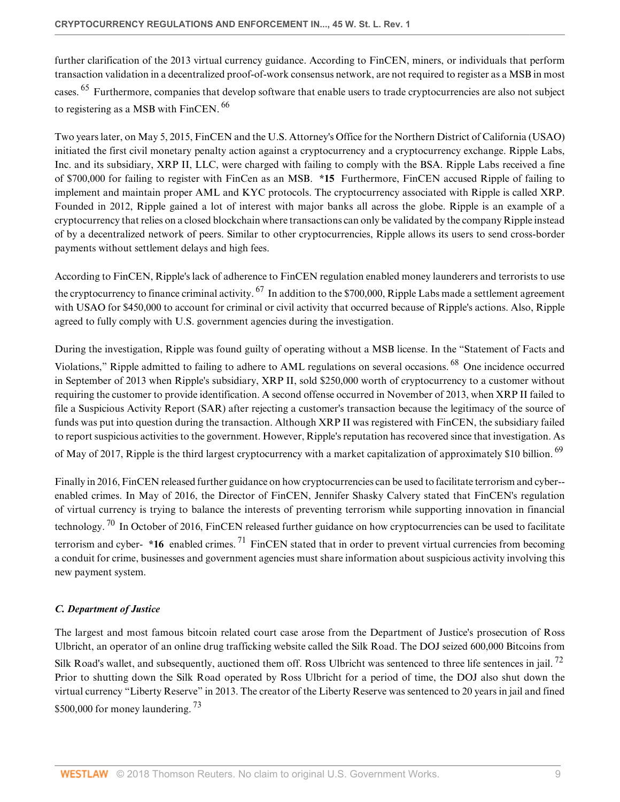<span id="page-8-1"></span>further clarification of the 2013 virtual currency guidance. According to FinCEN, miners, or individuals that perform transaction validation in a decentralized proof-of-work consensus network, are not required to register as a MSB in most cases. <sup>[65](#page-19-13)</sup> Furthermore, companies that develop software that enable users to trade cryptocurrencies are also not subject to registering as a MSB with FinCEN. [66](#page-19-14)

<span id="page-8-2"></span>Two years later, on May 5, 2015, FinCEN and the U.S. Attorney's Office for the Northern District of California (USAO) initiated the first civil monetary penalty action against a cryptocurrency and a cryptocurrency exchange. Ripple Labs, Inc. and its subsidiary, XRP II, LLC, were charged with failing to comply with the BSA. Ripple Labs received a fine of \$700,000 for failing to register with FinCen as an MSB. **\*15** Furthermore, FinCEN accused Ripple of failing to implement and maintain proper AML and KYC protocols. The cryptocurrency associated with Ripple is called XRP. Founded in 2012, Ripple gained a lot of interest with major banks all across the globe. Ripple is an example of a cryptocurrency that relies on a closed blockchain where transactions can only be validated by the company Ripple instead of by a decentralized network of peers. Similar to other cryptocurrencies, Ripple allows its users to send cross-border payments without settlement delays and high fees.

<span id="page-8-3"></span>According to FinCEN, Ripple's lack of adherence to FinCEN regulation enabled money launderers and terrorists to use the cryptocurrency to finance criminal activity.  $^{67}$  $^{67}$  $^{67}$  In addition to the \$700,000, Ripple Labs made a settlement agreement with USAO for \$450,000 to account for criminal or civil activity that occurred because of Ripple's actions. Also, Ripple agreed to fully comply with U.S. government agencies during the investigation.

<span id="page-8-4"></span>During the investigation, Ripple was found guilty of operating without a MSB license. In the "Statement of Facts and Violations," Ripple admitted to failing to adhere to AML regulations on several occasions. [68](#page-19-16) One incidence occurred in September of 2013 when Ripple's subsidiary, XRP II, sold \$250,000 worth of cryptocurrency to a customer without requiring the customer to provide identification. A second offense occurred in November of 2013, when XRP II failed to file a Suspicious Activity Report (SAR) after rejecting a customer's transaction because the legitimacy of the source of funds was put into question during the transaction. Although XRP II was registered with FinCEN, the subsidiary failed to report suspicious activities to the government. However, Ripple's reputation has recovered since that investigation. As of May of 2017, Ripple is the third largest cryptocurrency with a market capitalization of approximately \$10 billion. <sup>[69](#page-19-17)</sup>

<span id="page-8-7"></span><span id="page-8-6"></span><span id="page-8-5"></span>Finally in 2016, FinCEN released further guidance on how cryptocurrencies can be used to facilitate terrorism and cyber- enabled crimes. In May of 2016, the Director of FinCEN, Jennifer Shasky Calvery stated that FinCEN's regulation of virtual currency is trying to balance the interests of preventing terrorism while supporting innovation in financial technology. <sup>[70](#page-20-0)</sup> In October of 2016, FinCEN released further guidance on how cryptocurrencies can be used to facilitate terrorism and cyber- **\*16** enabled crimes. [71](#page-20-1) FinCEN stated that in order to prevent virtual currencies from becoming a conduit for crime, businesses and government agencies must share information about suspicious activity involving this new payment system.

## <span id="page-8-0"></span>*C. Department of Justice*

<span id="page-8-9"></span><span id="page-8-8"></span>The largest and most famous bitcoin related court case arose from the Department of Justice's prosecution of Ross Ulbricht, an operator of an online drug trafficking website called the Silk Road. The DOJ seized 600,000 Bitcoins from Silk Road's wallet, and subsequently, auctioned them off. Ross Ulbricht was sentenced to three life sentences in jail.<sup>[72](#page-20-2)</sup> Prior to shutting down the Silk Road operated by Ross Ulbricht for a period of time, the DOJ also shut down the virtual currency "Liberty Reserve" in 2013. The creator of the Liberty Reserve was sentenced to 20 years in jail and fined \$500,000 for money laundering.<sup>[73](#page-20-3)</sup>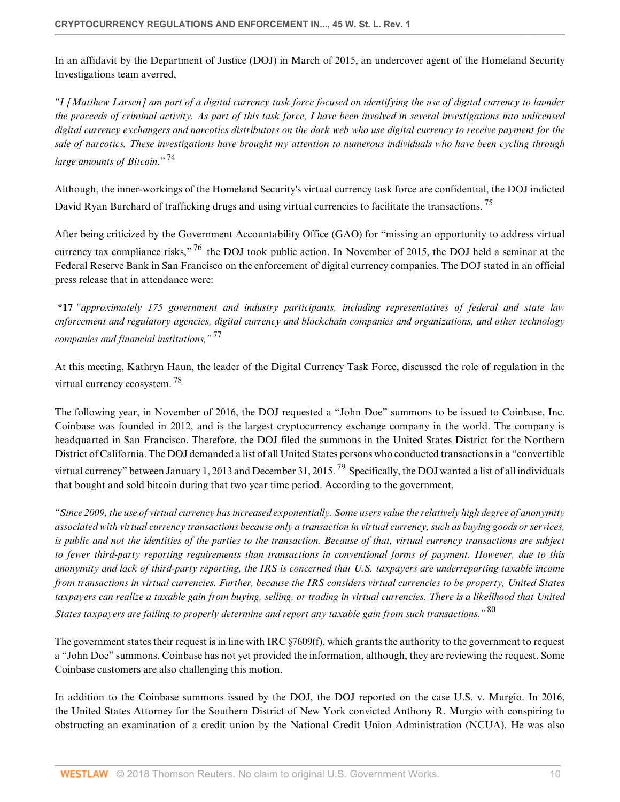In an affidavit by the Department of Justice (DOJ) in March of 2015, an undercover agent of the Homeland Security Investigations team averred,

*"I [Matthew Larsen] am part of a digital currency task force focused on identifying the use of digital currency to launder the proceeds of criminal activity. As part of this task force, I have been involved in several investigations into unlicensed digital currency exchangers and narcotics distributors on the dark web who use digital currency to receive payment for the sale of narcotics. These investigations have brought my attention to numerous individuals who have been cycling through large amounts of Bitcoin*." [74](#page-20-4)

<span id="page-9-1"></span><span id="page-9-0"></span>Although, the inner-workings of the Homeland Security's virtual currency task force are confidential, the DOJ indicted David Ryan Burchard of trafficking drugs and using virtual currencies to facilitate the transactions.<sup>[75](#page-20-5)</sup>

<span id="page-9-2"></span>After being criticized by the Government Accountability Office (GAO) for "missing an opportunity to address virtual currency tax compliance risks,"<sup>[76](#page-20-6)</sup> the DOJ took public action. In November of 2015, the DOJ held a seminar at the Federal Reserve Bank in San Francisco on the enforcement of digital currency companies. The DOJ stated in an official press release that in attendance were:

<span id="page-9-3"></span>**\*17** *"approximately 175 government and industry participants, including representatives of federal and state law enforcement and regulatory agencies, digital currency and blockchain companies and organizations, and other technology companies and financial institutions,"* [77](#page-20-7)

<span id="page-9-4"></span>At this meeting, Kathryn Haun, the leader of the Digital Currency Task Force, discussed the role of regulation in the virtual currency ecosystem. [78](#page-20-8)

The following year, in November of 2016, the DOJ requested a "John Doe" summons to be issued to Coinbase, Inc. Coinbase was founded in 2012, and is the largest cryptocurrency exchange company in the world. The company is headquarted in San Francisco. Therefore, the DOJ filed the summons in the United States District for the Northern District of California. The DOJ demanded a list of all United States persons who conducted transactions in a "convertible virtual currency" between January 1, 2013 and December 31, 2015. <sup>[79](#page-20-9)</sup> Specifically, the DOJ wanted a list of all individuals that bought and sold bitcoin during that two year time period. According to the government,

<span id="page-9-5"></span>*"Since 2009, the use of virtual currency has increased exponentially. Some users value the relatively high degree of anonymity associated with virtual currency transactions because only a transaction in virtual currency, such as buying goods or services, is public and not the identities of the parties to the transaction. Because of that, virtual currency transactions are subject to fewer third-party reporting requirements than transactions in conventional forms of payment. However, due to this anonymity and lack of third-party reporting, the IRS is concerned that U.S. taxpayers are underreporting taxable income from transactions in virtual currencies. Further, because the IRS considers virtual currencies to be property, United States taxpayers can realize a taxable gain from buying, selling, or trading in virtual currencies. There is a likelihood that United States taxpayers are failing to properly determine and report any taxable gain from such transactions."* [80](#page-20-10)

<span id="page-9-6"></span>The government states their request is in line with [IRC §7609\(f\),](http://www.westlaw.com/Link/Document/FullText?findType=L&pubNum=1012823&cite=26USCAS7609&originatingDoc=If5d353bd53f511e89bf199c0ee06c731&refType=RB&originationContext=document&vr=3.0&rs=cblt1.0&transitionType=DocumentItem&contextData=(sc.Default)#co_pp_ae0d0000c5150) which grants the authority to the government to request a "John Doe" summons. Coinbase has not yet provided the information, although, they are reviewing the request. Some Coinbase customers are also challenging this motion.

In addition to the Coinbase summons issued by the DOJ, the DOJ reported on the case U.S. v. Murgio. In 2016, the United States Attorney for the Southern District of New York convicted Anthony R. Murgio with conspiring to obstructing an examination of a credit union by the National Credit Union Administration (NCUA). He was also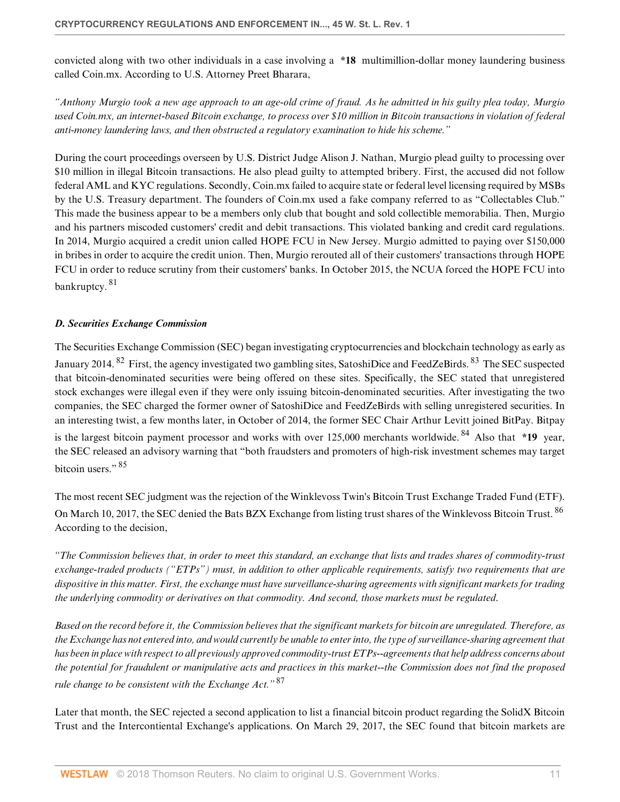convicted along with two other individuals in a case involving a **\*18** multimillion-dollar money laundering business called Coin.mx. According to U.S. Attorney Preet Bharara,

*"Anthony Murgio took a new age approach to an age-old crime of fraud. As he admitted in his guilty plea today, Murgio used Coin.mx, an internet-based Bitcoin exchange, to process over \$10 million in Bitcoin transactions in violation of federal anti-money laundering laws, and then obstructed a regulatory examination to hide his scheme."*

During the court proceedings overseen by U.S. District Judge Alison J. Nathan, Murgio plead guilty to processing over \$10 million in illegal Bitcoin transactions. He also plead guilty to attempted bribery. First, the accused did not follow federal AML and KYC regulations. Secondly, Coin.mx failed to acquire state or federal level licensing required by MSBs by the U.S. Treasury department. The founders of Coin.mx used a fake company referred to as "Collectables Club." This made the business appear to be a members only club that bought and sold collectible memorabilia. Then, Murgio and his partners miscoded customers' credit and debit transactions. This violated banking and credit card regulations. In 2014, Murgio acquired a credit union called HOPE FCU in New Jersey. Murgio admitted to paying over \$150,000 in bribes in order to acquire the credit union. Then, Murgio rerouted all of their customers' transactions through HOPE FCU in order to reduce scrutiny from their customers' banks. In October 2015, the NCUA forced the HOPE FCU into bankruptcy. [81](#page-20-11)

## <span id="page-10-1"></span><span id="page-10-0"></span>*D. Securities Exchange Commission*

<span id="page-10-3"></span><span id="page-10-2"></span>The Securities Exchange Commission (SEC) began investigating cryptocurrencies and blockchain technology as early as January 2014. <sup>[82](#page-20-12)</sup> First, the agency investigated two gambling sites, SatoshiDice and FeedZeBirds. <sup>[83](#page-20-13)</sup> The SEC suspected that bitcoin-denominated securities were being offered on these sites. Specifically, the SEC stated that unregistered stock exchanges were illegal even if they were only issuing bitcoin-denominated securities. After investigating the two companies, the SEC charged the former owner of SatoshiDice and FeedZeBirds with selling unregistered securities. In an interesting twist, a few months later, in October of 2014, the former SEC Chair Arthur Levitt joined BitPay. Bitpay is the largest bitcoin payment processor and works with over 125,000 merchants worldwide. [84](#page-20-14) Also that **\*19** year, the SEC released an advisory warning that "both fraudsters and promoters of high-risk investment schemes may target bitcoin users." $85$ 

<span id="page-10-6"></span><span id="page-10-5"></span><span id="page-10-4"></span>The most recent SEC judgment was the rejection of the Winklevoss Twin's Bitcoin Trust Exchange Traded Fund (ETF). On March 10, 2017, the SEC denied the Bats BZX Exchange from listing trust shares of the Winklevoss Bitcoin Trust. <sup>[86](#page-20-16)</sup> According to the decision,

*"The Commission believes that, in order to meet this standard, an exchange that lists and trades shares of commodity-trust exchange-traded products ("ETPs") must, in addition to other applicable requirements, satisfy two requirements that are dispositive in this matter. First, the exchange must have surveillance-sharing agreements with significant markets for trading the underlying commodity or derivatives on that commodity. And second, those markets must be regulated*.

*Based on the record before it, the Commission believes that the significant markets for bitcoin are unregulated. Therefore, as the Exchange has not entered into, and would currently be unable to enter into, the type of surveillance-sharing agreement that has been in place with respect to all previously approved commodity-trust ETPs--agreements that help address concerns about the potential for fraudulent or manipulative acts and practices in this market--the Commission does not find the proposed rule change to be consistent with the Exchange Act."* [87](#page-20-17)

<span id="page-10-7"></span>Later that month, the SEC rejected a second application to list a financial bitcoin product regarding the SolidX Bitcoin Trust and the Intercontiental Exchange's applications. On March 29, 2017, the SEC found that bitcoin markets are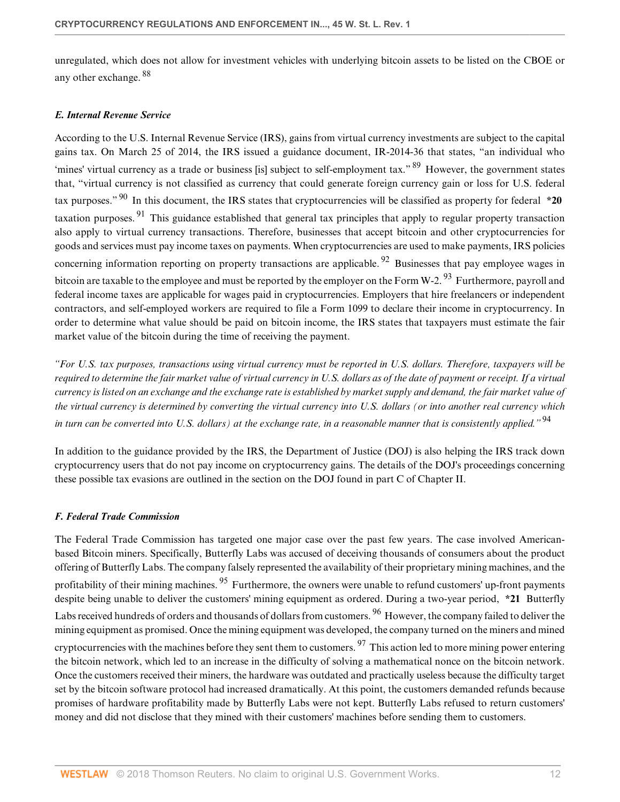<span id="page-11-2"></span>unregulated, which does not allow for investment vehicles with underlying bitcoin assets to be listed on the CBOE or any other exchange. [88](#page-21-0)

#### <span id="page-11-0"></span>*E. Internal Revenue Service*

<span id="page-11-5"></span><span id="page-11-4"></span><span id="page-11-3"></span>According to the U.S. Internal Revenue Service (IRS), gains from virtual currency investments are subject to the capital gains tax. On March 25 of 2014, the IRS issued a guidance document, IR-2014-36 that states, "an individual who 'mines' virtual currency as a trade or business [is] subject to self-employment tax." <sup>[89](#page-21-1)</sup> However, the government states that, "virtual currency is not classified as currency that could generate foreign currency gain or loss for U.S. federal tax purposes." [90](#page-21-2) In this document, the IRS states that cryptocurrencies will be classified as property for federal **\*20** taxation purposes. [91](#page-21-3) This guidance established that general tax principles that apply to regular property transaction also apply to virtual currency transactions. Therefore, businesses that accept bitcoin and other cryptocurrencies for goods and services must pay income taxes on payments. When cryptocurrencies are used to make payments, IRS policies concerning information reporting on property transactions are applicable. <sup>[92](#page-21-4)</sup> Businesses that pay employee wages in bitcoin are taxable to the employee and must be reported by the employer on the Form W-2.  $93$  Furthermore, payroll and federal income taxes are applicable for wages paid in cryptocurrencies. Employers that hire freelancers or independent contractors, and self-employed workers are required to file a Form 1099 to declare their income in cryptocurrency. In order to determine what value should be paid on bitcoin income, the IRS states that taxpayers must estimate the fair market value of the bitcoin during the time of receiving the payment.

<span id="page-11-7"></span><span id="page-11-6"></span>*"For U.S. tax purposes, transactions using virtual currency must be reported in U.S. dollars. Therefore, taxpayers will be required to determine the fair market value of virtual currency in U.S. dollars as of the date of payment or receipt. If a virtual currency is listed on an exchange and the exchange rate is established by market supply and demand, the fair market value of the virtual currency is determined by converting the virtual currency into U.S. dollars (or into another real currency which in turn can be converted into U.S. dollars) at the exchange rate, in a reasonable manner that is consistently applied."* [94](#page-21-6)

<span id="page-11-8"></span>In addition to the guidance provided by the IRS, the Department of Justice (DOJ) is also helping the IRS track down cryptocurrency users that do not pay income on cryptocurrency gains. The details of the DOJ's proceedings concerning these possible tax evasions are outlined in the section on the DOJ found in part C of Chapter II.

## <span id="page-11-1"></span>*F. Federal Trade Commission*

<span id="page-11-11"></span><span id="page-11-10"></span><span id="page-11-9"></span>The Federal Trade Commission has targeted one major case over the past few years. The case involved Americanbased Bitcoin miners. Specifically, Butterfly Labs was accused of deceiving thousands of consumers about the product offering of Butterfly Labs. The company falsely represented the availability of their proprietary mining machines, and the profitability of their mining machines. <sup>[95](#page-21-7)</sup> Furthermore, the owners were unable to refund customers' up-front payments despite being unable to deliver the customers' mining equipment as ordered. During a two-year period, **\*21** Butterfly Labs received hundreds of orders and thousands of dollars from customers. <sup>[96](#page-21-8)</sup> However, the company failed to deliver the mining equipment as promised. Once the mining equipment was developed, the company turned on the miners and mined cryptocurrencies with the machines before they sent them to customers.  $97$  This action led to more mining power entering the bitcoin network, which led to an increase in the difficulty of solving a mathematical nonce on the bitcoin network. Once the customers received their miners, the hardware was outdated and practically useless because the difficulty target set by the bitcoin software protocol had increased dramatically. At this point, the customers demanded refunds because promises of hardware profitability made by Butterfly Labs were not kept. Butterfly Labs refused to return customers' money and did not disclose that they mined with their customers' machines before sending them to customers.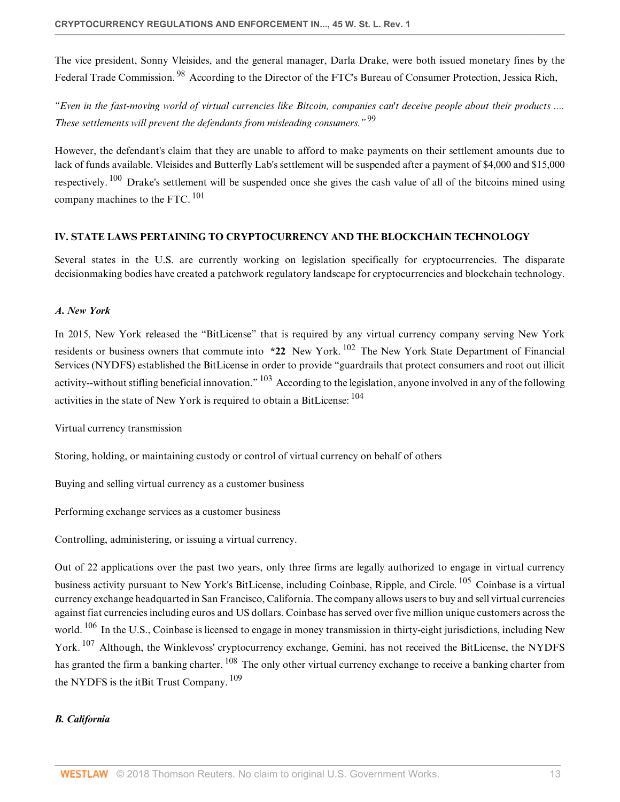<span id="page-12-3"></span>The vice president, Sonny Vleisides, and the general manager, Darla Drake, were both issued monetary fines by the Federal Trade Commission.<sup>[98](#page-21-10)</sup> According to the Director of the FTC's Bureau of Consumer Protection, Jessica Rich,

<span id="page-12-4"></span>*"Even in the fast-moving world of virtual currencies like Bitcoin, companies can't deceive people about their products .... These settlements will prevent the defendants from misleading consumers."* [99](#page-21-11)

<span id="page-12-6"></span><span id="page-12-5"></span>However, the defendant's claim that they are unable to afford to make payments on their settlement amounts due to lack of funds available. Vleisides and Butterfly Lab's settlement will be suspended after a payment of \$4,000 and \$15,000 respectively.  $100$  Drake's settlement will be suspended once she gives the cash value of all of the bitcoins mined using company machines to the FTC. [101](#page-21-13)

## <span id="page-12-0"></span>**IV. STATE LAWS PERTAINING TO CRYPTOCURRENCY AND THE BLOCKCHAIN TECHNOLOGY**

Several states in the U.S. are currently working on legislation specifically for cryptocurrencies. The disparate decisionmaking bodies have created a patchwork regulatory landscape for cryptocurrencies and blockchain technology.

# <span id="page-12-1"></span>*A. New York*

<span id="page-12-8"></span><span id="page-12-7"></span>In 2015, New York released the "BitLicense" that is required by any virtual currency company serving New York residents or business owners that commute into **\*22** New York. [102](#page-21-14) The New York State Department of Financial Services (NYDFS) established the BitLicense in order to provide "guardrails that protect consumers and root out illicit activity--without stifling beneficial innovation." [103](#page-21-15) According to the legislation, anyone involved in any of the following activities in the state of New York is required to obtain a BitLicense: [104](#page-21-16)

<span id="page-12-9"></span>Virtual currency transmission

Storing, holding, or maintaining custody or control of virtual currency on behalf of others

Buying and selling virtual currency as a customer business

Performing exchange services as a customer business

Controlling, administering, or issuing a virtual currency.

<span id="page-12-12"></span><span id="page-12-11"></span><span id="page-12-10"></span>Out of 22 applications over the past two years, only three firms are legally authorized to engage in virtual currency business activity pursuant to New York's BitLicense, including Coinbase, Ripple, and Circle. [105](#page-21-17) Coinbase is a virtual currency exchange headquarted in San Francisco, California. The company allows users to buy and sell virtual currencies against fiat currencies including euros and US dollars. Coinbase has served over five million unique customers across the world. <sup>[106](#page-21-18)</sup> In the U.S., Coinbase is licensed to engage in money transmission in thirty-eight jurisdictions, including New York. <sup>[107](#page-21-19)</sup> Although, the Winklevoss' cryptocurrency exchange, Gemini, has not received the BitLicense, the NYDFS has granted the firm a banking charter. <sup>[108](#page-21-20)</sup> The only other virtual currency exchange to receive a banking charter from the NYDFS is the itBit Trust Company.  $109$ 

# <span id="page-12-14"></span><span id="page-12-13"></span><span id="page-12-2"></span>*B. California*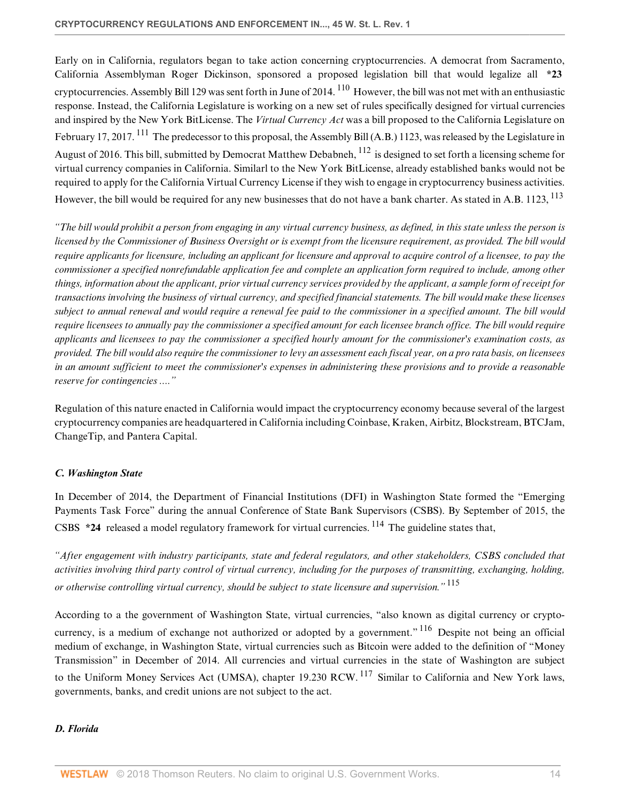<span id="page-13-3"></span><span id="page-13-2"></span>Early on in California, regulators began to take action concerning cryptocurrencies. A democrat from Sacramento, California Assemblyman Roger Dickinson, sponsored a proposed legislation bill that would legalize all **\*23** cryptocurrencies. Assembly Bill 129 was sent forth in June of 2014.  $^{110}$  $^{110}$  $^{110}$  However, the bill was not met with an enthusiastic response. Instead, the California Legislature is working on a new set of rules specifically designed for virtual currencies and inspired by the New York BitLicense. The *Virtual Currency Act* was a bill proposed to the California Legislature on February 17, 2017. <sup>[111](#page-22-0)</sup> The predecessor to this proposal, the Assembly Bill (A.B.) 1123, was released by the Legislature in August of 2016. This bill, submitted by Democrat Matthew Debabneh, <sup>[112](#page-22-1)</sup> is designed to set forth a licensing scheme for virtual currency companies in California. Similarl to the New York BitLicense, already established banks would not be required to apply for the California Virtual Currency License if they wish to engage in cryptocurrency business activities. However, the bill would be required for any new businesses that do not have a bank charter. As stated in A.B. 1123, <sup>[113](#page-22-2)</sup>

<span id="page-13-5"></span><span id="page-13-4"></span>*"The bill would prohibit a person from engaging in any virtual currency business, as defined, in this state unless the person is licensed by the Commissioner of Business Oversight or is exempt from the licensure requirement, as provided. The bill would require applicants for licensure, including an applicant for licensure and approval to acquire control of a licensee, to pay the commissioner a specified nonrefundable application fee and complete an application form required to include, among other things, information about the applicant, prior virtual currency services provided by the applicant, a sample form of receipt for transactions involving the business of virtual currency, and specified financial statements. The bill would make these licenses subject to annual renewal and would require a renewal fee paid to the commissioner in a specified amount. The bill would require licensees to annually pay the commissioner a specified amount for each licensee branch office. The bill would require applicants and licensees to pay the commissioner a specified hourly amount for the commissioner's examination costs, as provided. The bill would also require the commissioner to levy an assessment each fiscal year, on a pro rata basis, on licensees in an amount sufficient to meet the commissioner's expenses in administering these provisions and to provide a reasonable reserve for contingencies ...."*

Regulation of this nature enacted in California would impact the cryptocurrency economy because several of the largest cryptocurrency companies are headquartered in California including Coinbase, Kraken, Airbitz, Blockstream, BTCJam, ChangeTip, and Pantera Capital.

## <span id="page-13-0"></span>*C. Washington State*

<span id="page-13-6"></span>In December of 2014, the Department of Financial Institutions (DFI) in Washington State formed the "Emerging Payments Task Force" during the annual Conference of State Bank Supervisors (CSBS). By September of 2015, the CSBS \*24 released a model regulatory framework for virtual currencies. <sup>[114](#page-22-3)</sup> The guideline states that,

<span id="page-13-7"></span>*"After engagement with industry participants, state and federal regulators, and other stakeholders, CSBS concluded that activities involving third party control of virtual currency, including for the purposes of transmitting, exchanging, holding, or otherwise controlling virtual currency, should be subject to state licensure and supervision."* [115](#page-22-4)

<span id="page-13-9"></span><span id="page-13-8"></span>According to a the government of Washington State, virtual currencies, "also known as digital currency or crypto-currency, is a medium of exchange not authorized or adopted by a government."<sup>[116](#page-22-5)</sup> Despite not being an official medium of exchange, in Washington State, virtual currencies such as Bitcoin were added to the definition of "Money Transmission" in December of 2014. All currencies and virtual currencies in the state of Washington are subject to the Uniform Money Services Act (UMSA), chapter 19.230 RCW. <sup>[117](#page-22-6)</sup> Similar to California and New York laws, governments, banks, and credit unions are not subject to the act.

## <span id="page-13-1"></span>*D. Florida*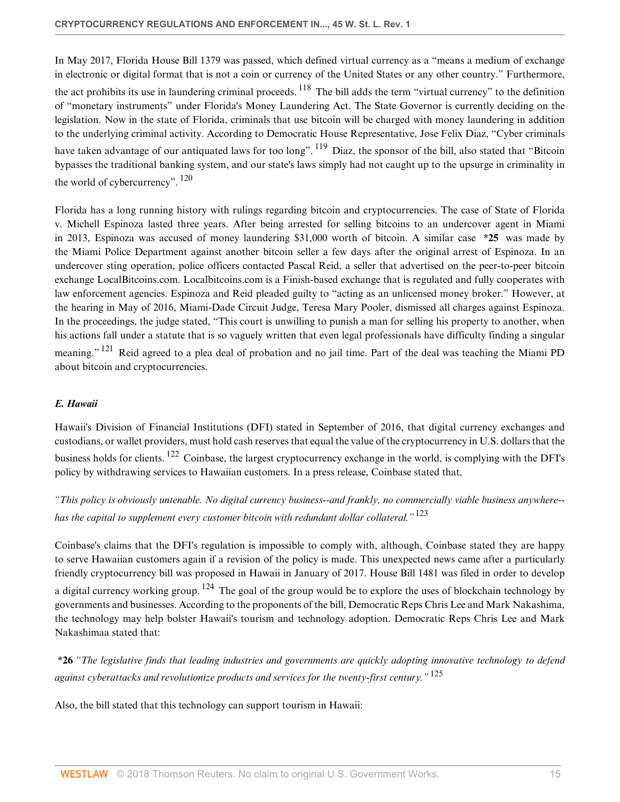<span id="page-14-1"></span>In May 2017, Florida House Bill 1379 was passed, which defined virtual currency as a "means a medium of exchange in electronic or digital format that is not a coin or currency of the United States or any other country." Furthermore, the act prohibits its use in laundering criminal proceeds.  $^{118}$  $^{118}$  $^{118}$  The bill adds the term "virtual currency" to the definition of "monetary instruments" under Florida's Money Laundering Act. The State Governor is currently deciding on the legislation. Now in the state of Florida, criminals that use bitcoin will be charged with money laundering in addition to the underlying criminal activity. According to Democratic House Representative, Jose Felix Diaz, "Cyber criminals have taken advantage of our antiquated laws for too long". <sup>[119](#page-22-8)</sup> Diaz, the sponsor of the bill, also stated that "Bitcoin" bypasses the traditional banking system, and our state's laws simply had not caught up to the upsurge in criminality in the world of cybercurrency". [120](#page-22-9)

<span id="page-14-3"></span><span id="page-14-2"></span>Florida has a long running history with rulings regarding bitcoin and cryptocurrencies. The case of State of Florida v. Michell Espinoza lasted three years. After being arrested for selling bitcoins to an undercover agent in Miami in 2013, Espinoza was accused of money laundering \$31,000 worth of bitcoin. A similar case **\*25** was made by the Miami Police Department against another bitcoin seller a few days after the original arrest of Espinoza. In an undercover sting operation, police officers contacted Pascal Reid, a seller that advertised on the peer-to-peer bitcoin exchange LocalBitcoins.com. Localbitcoins.com is a Finish-based exchange that is regulated and fully cooperates with law enforcement agencies. Espinoza and Reid pleaded guilty to "acting as an unlicensed money broker." However, at the hearing in May of 2016, Miami-Dade Circuit Judge, Teresa Mary Pooler, dismissed all charges against Espinoza. In the proceedings, the judge stated, "This court is unwilling to punish a man for selling his property to another, when his actions fall under a statute that is so vaguely written that even legal professionals have difficulty finding a singular meaning." <sup>[121](#page-22-10)</sup> Reid agreed to a plea deal of probation and no jail time. Part of the deal was teaching the Miami PD about bitcoin and cryptocurrencies.

## <span id="page-14-4"></span><span id="page-14-0"></span>*E. Hawaii*

<span id="page-14-5"></span>Hawaii's Division of Financial Institutions (DFI) stated in September of 2016, that digital currency exchanges and custodians, or wallet providers, must hold cash reserves that equal the value of the cryptocurrency in U.S. dollars that the business holds for clients. [122](#page-22-11) Coinbase, the largest cryptocurrency exchange in the world, is complying with the DFI's policy by withdrawing services to Hawaiian customers. In a press release, Coinbase stated that,

<span id="page-14-6"></span>*"This policy is obviously untenable. No digital currency business--and frankly, no commercially viable business anywhere- has the capital to supplement every customer bitcoin with redundant dollar collateral."* [123](#page-22-12)

<span id="page-14-7"></span>Coinbase's claims that the DFI's regulation is impossible to comply with, although, Coinbase stated they are happy to serve Hawaiian customers again if a revision of the policy is made. This unexpected news came after a particularly friendly cryptocurrency bill was proposed in Hawaii in January of 2017. House Bill 1481 was filed in order to develop a digital currency working group.  $124$  The goal of the group would be to explore the uses of blockchain technology by governments and businesses. According to the proponents of the bill, Democratic Reps Chris Lee and Mark Nakashima, the technology may help bolster Hawaii's tourism and technology adoption. Democratic Reps Chris Lee and Mark Nakashimaa stated that:

<span id="page-14-8"></span>**\*26** *"The legislative finds that leading industries and governments are quickly adopting innovative technology to defend against cyberattacks and revolutionize products and services for the twenty-first century."* [125](#page-22-14)

Also, the bill stated that this technology can support tourism in Hawaii: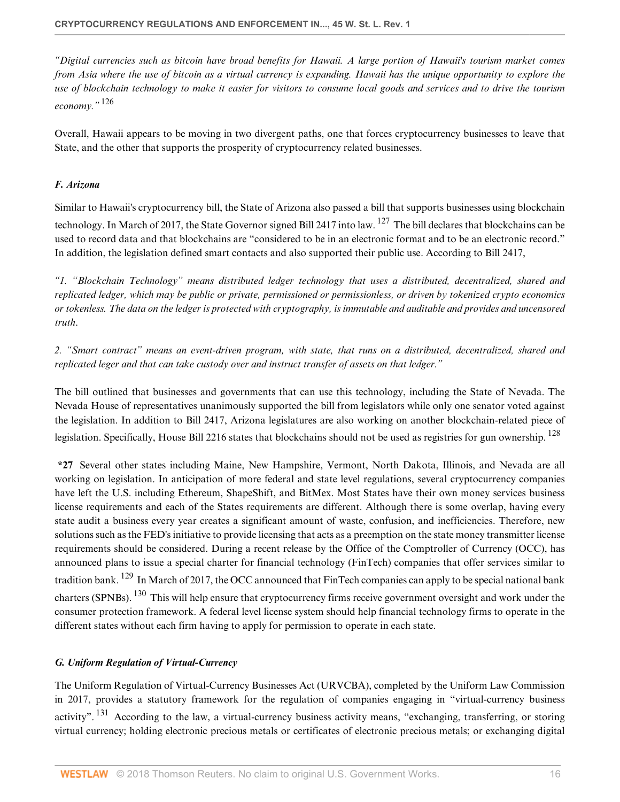*"Digital currencies such as bitcoin have broad benefits for Hawaii. A large portion of Hawaii's tourism market comes from Asia where the use of bitcoin as a virtual currency is expanding. Hawaii has the unique opportunity to explore the use of blockchain technology to make it easier for visitors to consume local goods and services and to drive the tourism economy."* [126](#page-22-15)

<span id="page-15-2"></span>Overall, Hawaii appears to be moving in two divergent paths, one that forces cryptocurrency businesses to leave that State, and the other that supports the prosperity of cryptocurrency related businesses.

# <span id="page-15-0"></span>*F. Arizona*

<span id="page-15-3"></span>Similar to Hawaii's cryptocurrency bill, the State of Arizona also passed a bill that supports businesses using blockchain technology. In March of 2017, the State Governor signed Bill 2417 into law. <sup>[127](#page-22-16)</sup> The bill declares that blockchains can be used to record data and that blockchains are "considered to be in an electronic format and to be an electronic record." In addition, the legislation defined smart contacts and also supported their public use. According to Bill 2417,

*"1. "Blockchain Technology" means distributed ledger technology that uses a distributed, decentralized, shared and replicated ledger, which may be public or private, permissioned or permissionless, or driven by tokenized crypto economics or tokenless. The data on the ledger is protected with cryptography, is immutable and auditable and provides and uncensored truth*.

*2. "Smart contract" means an event-driven program, with state, that runs on a distributed, decentralized, shared and replicated leger and that can take custody over and instruct transfer of assets on that ledger."*

<span id="page-15-4"></span>The bill outlined that businesses and governments that can use this technology, including the State of Nevada. The Nevada House of representatives unanimously supported the bill from legislators while only one senator voted against the legislation. In addition to Bill 2417, Arizona legislatures are also working on another blockchain-related piece of legislation. Specifically, House Bill 2216 states that blockchains should not be used as registries for gun ownership. <sup>[128](#page-22-17)</sup>

**\*27** Several other states including Maine, New Hampshire, Vermont, North Dakota, Illinois, and Nevada are all working on legislation. In anticipation of more federal and state level regulations, several cryptocurrency companies have left the U.S. including Ethereum, ShapeShift, and BitMex. Most States have their own money services business license requirements and each of the States requirements are different. Although there is some overlap, having every state audit a business every year creates a significant amount of waste, confusion, and inefficiencies. Therefore, new solutions such as the FED's initiative to provide licensing that acts as a preemption on the state money transmitter license requirements should be considered. During a recent release by the Office of the Comptroller of Currency (OCC), has announced plans to issue a special charter for financial technology (FinTech) companies that offer services similar to tradition bank. <sup>[129](#page-22-18)</sup> In March of 2017, the OCC announced that FinTech companies can apply to be special national bank charters (SPNBs). [130](#page-22-19) This will help ensure that cryptocurrency firms receive government oversight and work under the consumer protection framework. A federal level license system should help financial technology firms to operate in the different states without each firm having to apply for permission to operate in each state.

## <span id="page-15-6"></span><span id="page-15-5"></span><span id="page-15-1"></span>*G. Uniform Regulation of Virtual-Currency*

<span id="page-15-7"></span>The Uniform Regulation of Virtual-Currency Businesses Act (URVCBA), completed by the Uniform Law Commission in 2017, provides a statutory framework for the regulation of companies engaging in "virtual-currency business activity". <sup>[131](#page-22-20)</sup> According to the law, a virtual-currency business activity means, "exchanging, transferring, or storing virtual currency; holding electronic precious metals or certificates of electronic precious metals; or exchanging digital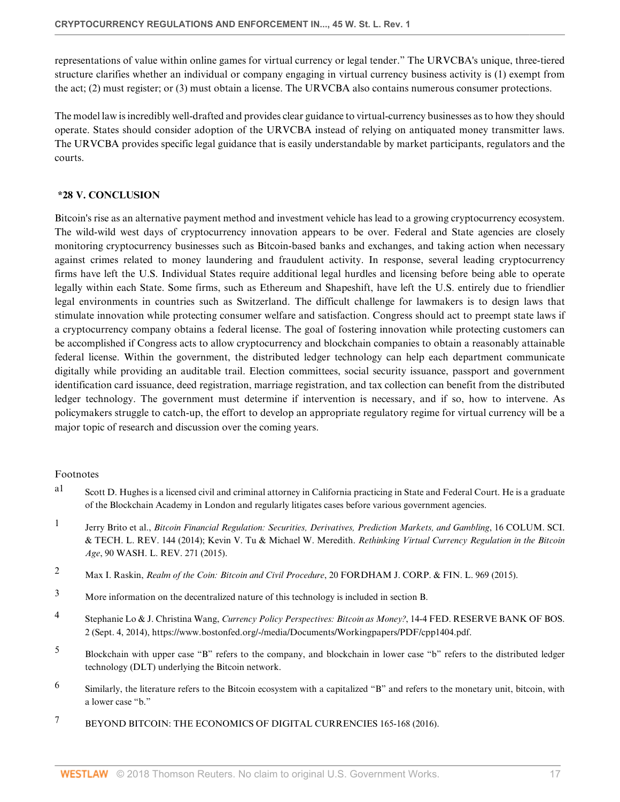representations of value within online games for virtual currency or legal tender." The URVCBA's unique, three-tiered structure clarifies whether an individual or company engaging in virtual currency business activity is (1) exempt from the act; (2) must register; or (3) must obtain a license. The URVCBA also contains numerous consumer protections.

The model law is incredibly well-drafted and provides clear guidance to virtual-currency businesses as to how they should operate. States should consider adoption of the URVCBA instead of relying on antiquated money transmitter laws. The URVCBA provides specific legal guidance that is easily understandable by market participants, regulators and the courts.

#### <span id="page-16-1"></span>**\*28 V. CONCLUSION**

Bitcoin's rise as an alternative payment method and investment vehicle has lead to a growing cryptocurrency ecosystem. The wild-wild west days of cryptocurrency innovation appears to be over. Federal and State agencies are closely monitoring cryptocurrency businesses such as Bitcoin-based banks and exchanges, and taking action when necessary against crimes related to money laundering and fraudulent activity. In response, several leading cryptocurrency firms have left the U.S. Individual States require additional legal hurdles and licensing before being able to operate legally within each State. Some firms, such as Ethereum and Shapeshift, have left the U.S. entirely due to friendlier legal environments in countries such as Switzerland. The difficult challenge for lawmakers is to design laws that stimulate innovation while protecting consumer welfare and satisfaction. Congress should act to preempt state laws if a cryptocurrency company obtains a federal license. The goal of fostering innovation while protecting customers can be accomplished if Congress acts to allow cryptocurrency and blockchain companies to obtain a reasonably attainable federal license. Within the government, the distributed ledger technology can help each department communicate digitally while providing an auditable trail. Election committees, social security issuance, passport and government identification card issuance, deed registration, marriage registration, and tax collection can benefit from the distributed ledger technology. The government must determine if intervention is necessary, and if so, how to intervene. As policymakers struggle to catch-up, the effort to develop an appropriate regulatory regime for virtual currency will be a major topic of research and discussion over the coming years.

#### Footnotes

- <span id="page-16-0"></span>[a1](#page-0-0) Scott D. Hughes is a licensed civil and criminal attorney in California practicing in State and Federal Court. He is a graduate of the Blockchain Academy in London and regularly litigates cases before various government agencies.
- <span id="page-16-2"></span>[1](#page-1-1) Jerry Brito et al., *[Bitcoin Financial Regulation: Securities, Derivatives, Prediction Markets, and Gambling](http://www.westlaw.com/Link/Document/FullText?findType=Y&serNum=0426878887&pubNum=0129177&originatingDoc=If5d353bd53f511e89bf199c0ee06c731&refType=LR&originationContext=document&vr=3.0&rs=cblt1.0&transitionType=DocumentItem&contextData=(sc.Default))*, 16 COLUM. SCI. [& TECH. L. REV. 144 \(2014\)](http://www.westlaw.com/Link/Document/FullText?findType=Y&serNum=0426878887&pubNum=0129177&originatingDoc=If5d353bd53f511e89bf199c0ee06c731&refType=LR&originationContext=document&vr=3.0&rs=cblt1.0&transitionType=DocumentItem&contextData=(sc.Default)); Kevin V. Tu & Michael W. Meredith. *[Rethinking Virtual Currency Regulation in the Bitcoin](http://www.westlaw.com/Link/Document/FullText?findType=Y&serNum=0429626282&pubNum=0001281&originatingDoc=If5d353bd53f511e89bf199c0ee06c731&refType=LR&originationContext=document&vr=3.0&rs=cblt1.0&transitionType=DocumentItem&contextData=(sc.Default)) Age*[, 90 WASH. L. REV. 271 \(2015\)](http://www.westlaw.com/Link/Document/FullText?findType=Y&serNum=0429626282&pubNum=0001281&originatingDoc=If5d353bd53f511e89bf199c0ee06c731&refType=LR&originationContext=document&vr=3.0&rs=cblt1.0&transitionType=DocumentItem&contextData=(sc.Default)).
- <span id="page-16-3"></span>[2](#page-1-2) Max I. Raskin, *Realm of the Coin: Bitcoin and Civil Procedure*[, 20 FORDHAM J. CORP. & FIN. L. 969 \(2015\).](http://www.westlaw.com/Link/Document/FullText?findType=Y&serNum=0431172908&pubNum=0139867&originatingDoc=If5d353bd53f511e89bf199c0ee06c731&refType=LR&originationContext=document&vr=3.0&rs=cblt1.0&transitionType=DocumentItem&contextData=(sc.Default))
- <span id="page-16-4"></span>[3](#page-1-3) More information on the decentralized nature of this technology is included in section B.
- <span id="page-16-5"></span>[4](#page-2-1) Stephanie Lo & J. Christina Wang, *Currency Policy Perspectives: Bitcoin as Money?*, 14-4 FED. RESERVE BANK OF BOS. 2 (Sept. 4, 2014), https://www.bostonfed.org/-/media/Documents/Workingpapers/PDF/cpp1404.pdf.
- <span id="page-16-6"></span>[5](#page-2-2) Blockchain with upper case "B" refers to the company, and blockchain in lower case "b" refers to the distributed ledger technology (DLT) underlying the Bitcoin network.
- <span id="page-16-7"></span>[6](#page-2-3) Similarly, the literature refers to the Bitcoin ecosystem with a capitalized "B" and refers to the monetary unit, bitcoin, with a lower case "b."
- <span id="page-16-8"></span><sup>[7](#page-2-4)</sup> BEYOND BITCOIN: THE ECONOMICS OF DIGITAL CURRENCIES 165-168 (2016).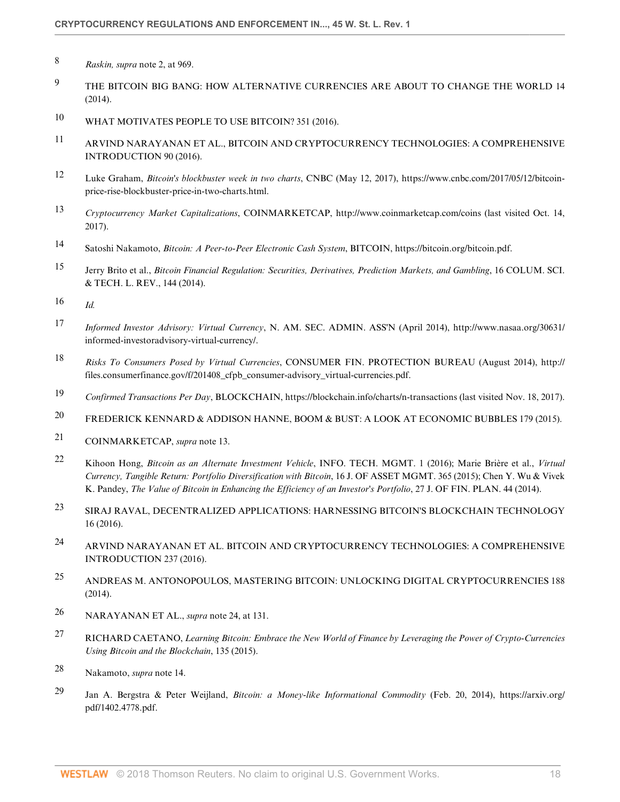- <span id="page-17-0"></span>[8](#page-2-5) *Raskin, supra* note 2, at 969.
- <span id="page-17-1"></span><sup>[9](#page-2-6)</sup> THE BITCOIN BIG BANG: HOW ALTERNATIVE CURRENCIES ARE ABOUT TO CHANGE THE WORLD 14 (2014).
- <span id="page-17-2"></span>[10](#page-2-7) WHAT MOTIVATES PEOPLE TO USE BITCOIN? 351 (2016).
- <span id="page-17-3"></span>[11](#page-2-8) ARVIND NARAYANAN ET AL., BITCOIN AND CRYPTOCURRENCY TECHNOLOGIES: A COMPREHENSIVE INTRODUCTION 90 (2016).
- <span id="page-17-4"></span>[12](#page-2-9) Luke Graham, *Bitcoin's blockbuster week in two charts*, CNBC (May 12, 2017), https://www.cnbc.com/2017/05/12/bitcoinprice-rise-blockbuster-price-in-two-charts.html.
- <span id="page-17-5"></span>[13](#page-2-10) *Cryptocurrency Market Capitalizations*, COINMARKETCAP, http://www.coinmarketcap.com/coins (last visited Oct. 14, 2017).
- <span id="page-17-6"></span>[14](#page-2-11) Satoshi Nakamoto, *Bitcoin: A Peer-to-Peer Electronic Cash System*, BITCOIN, https://bitcoin.org/bitcoin.pdf.
- <span id="page-17-7"></span>[15](#page-2-12) Jerry Brito et al., *[Bitcoin Financial Regulation: Securities, Derivatives, Prediction Markets, and Gambling](http://www.westlaw.com/Link/Document/FullText?findType=Y&serNum=0426878887&pubNum=0129177&originatingDoc=If5d353bd53f511e89bf199c0ee06c731&refType=LR&originationContext=document&vr=3.0&rs=cblt1.0&transitionType=DocumentItem&contextData=(sc.Default))*, 16 COLUM. SCI. [& TECH. L. REV., 144 \(2014\).](http://www.westlaw.com/Link/Document/FullText?findType=Y&serNum=0426878887&pubNum=0129177&originatingDoc=If5d353bd53f511e89bf199c0ee06c731&refType=LR&originationContext=document&vr=3.0&rs=cblt1.0&transitionType=DocumentItem&contextData=(sc.Default))
- <span id="page-17-8"></span>[16](#page-2-13) *Id.*
- <span id="page-17-9"></span>[17](#page-2-14) *Informed Investor Advisory: Virtual Currency*, N. AM. SEC. ADMIN. ASS'N (April 2014), http://www.nasaa.org/30631/ informed-investoradvisory-virtual-currency/.
- <span id="page-17-10"></span>[18](#page-2-15) *Risks To Consumers Posed by Virtual Currencies*, CONSUMER FIN. PROTECTION BUREAU (August 2014), http:// files.consumerfinance.gov/f/201408\_cfpb\_consumer-advisory\_virtual-currencies.pdf.
- <span id="page-17-11"></span>[19](#page-3-1) *Confirmed Transactions Per Day*, BLOCKCHAIN, https://blockchain.info/charts/n-transactions (last visited Nov. 18, 2017).
- <span id="page-17-12"></span>[20](#page-3-2) FREDERICK KENNARD & ADDISON HANNE, BOOM & BUST: A LOOK AT ECONOMIC BUBBLES 179 (2015).
- <span id="page-17-13"></span>[21](#page-3-3) COINMARKETCAP, *supra* note 13.
- <span id="page-17-14"></span>[22](#page-3-4) Kihoon Hong, *Bitcoin as an Alternate Investment Vehicle*, INFO. TECH. MGMT. 1 (2016); Marie Brière et al., *Virtual Currency, Tangible Return: Portfolio Diversification with Bitcoin*, 16 J. OF ASSET MGMT. 365 (2015); Chen Y. Wu & Vivek K. Pandey, *The Value of Bitcoin in Enhancing the Efficiency of an Investor's Portfolio*, 27 J. OF FIN. PLAN. 44 (2014).
- <span id="page-17-15"></span>[23](#page-3-5) SIRAJ RAVAL, DECENTRALIZED APPLICATIONS: HARNESSING BITCOIN'S BLOCKCHAIN TECHNOLOGY 16 (2016).
- <span id="page-17-16"></span>[24](#page-3-6) ARVIND NARAYANAN ET AL. BITCOIN AND CRYPTOCURRENCY TECHNOLOGIES: A COMPREHENSIVE INTRODUCTION 237 (2016).
- <span id="page-17-17"></span>[25](#page-3-7) ANDREAS M. ANTONOPOULOS, MASTERING BITCOIN: UNLOCKING DIGITAL CRYPTOCURRENCIES 188 (2014).
- <span id="page-17-18"></span>[26](#page-3-8) NARAYANAN ET AL., *supra* note 24, at 131.
- <span id="page-17-19"></span>[27](#page-3-9) RICHARD CAETANO, *Learning Bitcoin: Embrace the New World of Finance by Leveraging the Power of Crypto-Currencies Using Bitcoin and the Blockchain*, 135 (2015).
- <span id="page-17-20"></span>[28](#page-4-2) Nakamoto, *supra* note 14.
- <span id="page-17-21"></span>[29](#page-4-3) Jan A. Bergstra & Peter Weijland, *Bitcoin: a Money-like Informational Commodity* (Feb. 20, 2014), https://arxiv.org/ pdf/1402.4778.pdf.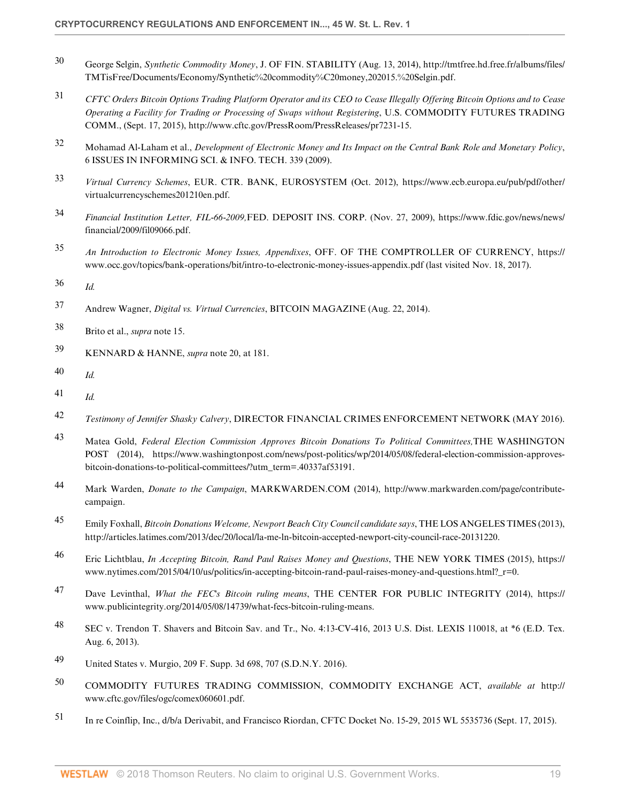- <span id="page-18-0"></span>[30](#page-4-4) George Selgin, *Synthetic Commodity Money*, J. OF FIN. STABILITY (Aug. 13, 2014), http://tmtfree.hd.free.fr/albums/files/ TMTisFree/Documents/Economy/Synthetic%20commodity%C20money,202015.%20Selgin.pdf.
- <span id="page-18-1"></span>[31](#page-4-5) *CFTC Orders Bitcoin Options Trading Platform Operator and its CEO to Cease Illegally Offering Bitcoin Options and to Cease Operating a Facility for Trading or Processing of Swaps without Registering*, U.S. COMMODITY FUTURES TRADING COMM., (Sept. 17, 2015), http://www.cftc.gov/PressRoom/PressReleases/pr7231-15.
- <span id="page-18-2"></span>[32](#page-4-6) Mohamad Al-Laham et al., *Development of Electronic Money and Its Impact on the Central Bank Role and Monetary Policy*, 6 ISSUES IN INFORMING SCI. & INFO. TECH. 339 (2009).
- <span id="page-18-3"></span>[33](#page-4-7) *Virtual Currency Schemes*, EUR. CTR. BANK, EUROSYSTEM (Oct. 2012), https://www.ecb.europa.eu/pub/pdf/other/ virtualcurrencyschemes201210en.pdf.
- <span id="page-18-4"></span>[34](#page-5-1) *Financial Institution Letter, FIL-66-2009,*FED. DEPOSIT INS. CORP. (Nov. 27, 2009), https://www.fdic.gov/news/news/ financial/2009/fil09066.pdf.
- <span id="page-18-5"></span>[35](#page-5-2) *An Introduction to Electronic Money Issues, Appendixes*, OFF. OF THE COMPTROLLER OF CURRENCY, https:// www.occ.gov/topics/bank-operations/bit/intro-to-electronic-money-issues-appendix.pdf (last visited Nov. 18, 2017).
- <span id="page-18-6"></span>[36](#page-5-3) *Id.*
- <span id="page-18-7"></span>[37](#page-5-4) Andrew Wagner, *Digital vs. Virtual Currencies*, BITCOIN MAGAZINE (Aug. 22, 2014).
- <span id="page-18-8"></span>[38](#page-5-5) Brito et al., *supra* note 15.
- <span id="page-18-9"></span>[39](#page-5-6) KENNARD & HANNE, *supra* note 20, at 181.
- <span id="page-18-10"></span>[40](#page-5-7) *Id.*
- <span id="page-18-11"></span>[41](#page-5-8) *Id.*
- <span id="page-18-12"></span>[42](#page-5-9) *Testimony of Jennifer Shasky Calvery*, DIRECTOR FINANCIAL CRIMES ENFORCEMENT NETWORK (MAY 2016).
- <span id="page-18-13"></span>[43](#page-5-10) Matea Gold, *Federal Election Commission Approves Bitcoin Donations To Political Committees,*THE WASHINGTON POST (2014), https://www.washingtonpost.com/news/post-politics/wp/2014/05/08/federal-election-commission-approvesbitcoin-donations-to-political-committees/?utm\_term=.40337af53191.
- <span id="page-18-14"></span>[44](#page-5-11) Mark Warden, *Donate to the Campaign*, MARKWARDEN.COM (2014), http://www.markwarden.com/page/contributecampaign.
- <span id="page-18-15"></span>[45](#page-5-12) Emily Foxhall, *Bitcoin Donations Welcome, Newport Beach City Council candidate says*, THE LOS ANGELES TIMES (2013), http://articles.latimes.com/2013/dec/20/local/la-me-ln-bitcoin-accepted-newport-city-council-race-20131220.
- <span id="page-18-16"></span>[46](#page-5-13) Eric Lichtblau, *In Accepting Bitcoin, Rand Paul Raises Money and Questions*, THE NEW YORK TIMES (2015), https:// www.nytimes.com/2015/04/10/us/politics/in-accepting-bitcoin-rand-paul-raises-money-and-questions.html? r=0.
- <span id="page-18-17"></span>[47](#page-5-14) Dave Levinthal, *What the FEC's Bitcoin ruling means*, THE CENTER FOR PUBLIC INTEGRITY (2014), https:// www.publicintegrity.org/2014/05/08/14739/what-fecs-bitcoin-ruling-means.
- <span id="page-18-18"></span>[48](#page-6-1) SEC v. Trendon T. Shavers and Bitcoin Sav. and Tr., No. 4:13-CV-416, 2013 U.S. Dist. LEXIS 110018, at \*6 (E.D. Tex. Aug. 6, 2013).
- <span id="page-18-19"></span>[49](#page-6-2) [United States v. Murgio, 209 F. Supp. 3d 698, 707 \(S.D.N.Y. 2016\).](http://www.westlaw.com/Link/Document/FullText?findType=Y&serNum=2039821907&pubNum=0007903&originatingDoc=If5d353bd53f511e89bf199c0ee06c731&refType=RP&fi=co_pp_sp_7903_707&originationContext=document&vr=3.0&rs=cblt1.0&transitionType=DocumentItem&contextData=(sc.Default)#co_pp_sp_7903_707)
- <span id="page-18-20"></span>[50](#page-6-3) COMMODITY FUTURES TRADING COMMISSION, COMMODITY EXCHANGE ACT, *available at* http:// www.cftc.gov/files/ogc/comex060601.pdf.
- <span id="page-18-21"></span>[51](#page-6-4) [In re Coinflip, Inc., d/b/a Derivabit, and Francisco Riordan, CFTC Docket No. 15-29, 2015 WL 5535736 \(Sept. 17, 2015\).](http://www.westlaw.com/Link/Document/FullText?findType=Y&serNum=0433317785&pubNum=0000999&originatingDoc=If5d353bd53f511e89bf199c0ee06c731&refType=DE&originationContext=document&vr=3.0&rs=cblt1.0&transitionType=DocumentItem&contextData=(sc.Default))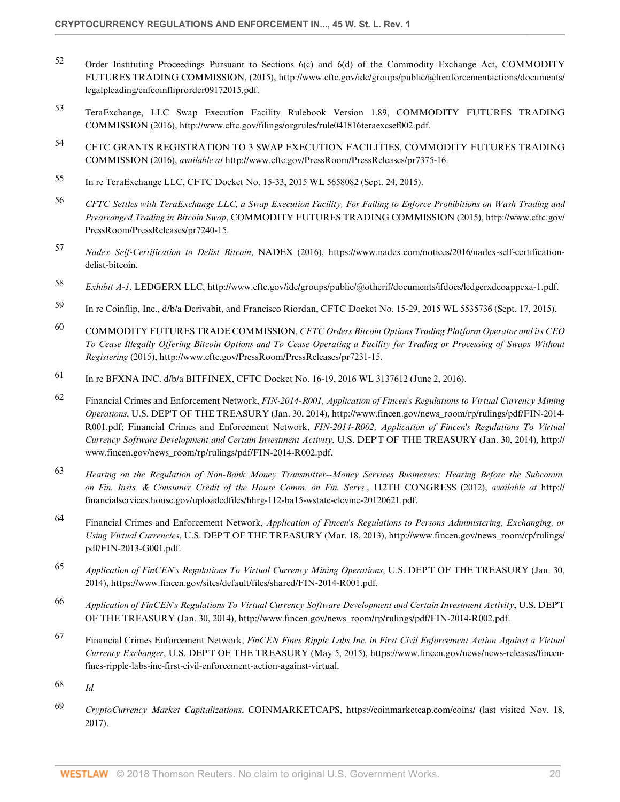- <span id="page-19-0"></span>[52](#page-6-5) Order Instituting Proceedings Pursuant to Sections 6(c) and 6(d) of the Commodity Exchange Act, COMMODITY FUTURES TRADING COMMISSION, (2015), http://www.cftc.gov/idc/groups/public/@lrenforcementactions/documents/ legalpleading/enfcoinfliprorder09172015.pdf.
- <span id="page-19-1"></span>[53](#page-6-6) TeraExchange, LLC Swap Execution Facility Rulebook Version 1.89, COMMODITY FUTURES TRADING COMMISSION (2016), http://www.cftc.gov/filings/orgrules/rule041816teraexcsef002.pdf.
- <span id="page-19-2"></span>[54](#page-6-7) CFTC GRANTS REGISTRATION TO 3 SWAP EXECUTION FACILITIES, COMMODITY FUTURES TRADING COMMISSION (2016), *available at* http://www.cftc.gov/PressRoom/PressReleases/pr7375-16.
- <span id="page-19-3"></span>[55](#page-6-8) [In re TeraExchange LLC, CFTC Docket No. 15-33, 2015 WL 5658082 \(Sept. 24, 2015\).](http://www.westlaw.com/Link/Document/FullText?findType=Y&serNum=0433454422&pubNum=0000999&originatingDoc=If5d353bd53f511e89bf199c0ee06c731&refType=DE&originationContext=document&vr=3.0&rs=cblt1.0&transitionType=DocumentItem&contextData=(sc.Default))
- <span id="page-19-4"></span>[56](#page-6-9) *CFTC Settles with TeraExchange LLC, a Swap Execution Facility, For Failing to Enforce Prohibitions on Wash Trading and Prearranged Trading in Bitcoin Swap*, COMMODITY FUTURES TRADING COMMISSION (2015), http://www.cftc.gov/ PressRoom/PressReleases/pr7240-15.
- <span id="page-19-5"></span>[57](#page-6-10) *Nadex Self-Certification to Delist Bitcoin*, NADEX (2016), https://www.nadex.com/notices/2016/nadex-self-certificationdelist-bitcoin.
- <span id="page-19-6"></span>[58](#page-6-11) *Exhibit A-1*, LEDGERX LLC, http://www.cftc.gov/idc/groups/public/@otherif/documents/ifdocs/ledgerxdcoappexa-1.pdf.
- <span id="page-19-7"></span>[59](#page-7-1) [In re Coinflip, Inc., d/b/a Derivabit, and Francisco Riordan, CFTC Docket No. 15-29, 2015 WL 5535736 \(Sept. 17, 2015\).](http://www.westlaw.com/Link/Document/FullText?findType=Y&serNum=0433317785&pubNum=0000999&originatingDoc=If5d353bd53f511e89bf199c0ee06c731&refType=DE&originationContext=document&vr=3.0&rs=cblt1.0&transitionType=DocumentItem&contextData=(sc.Default))
- <span id="page-19-8"></span>[60](#page-7-2) COMMODITY FUTURES TRADE COMMISSION, *CFTC Orders Bitcoin Options Trading Platform Operator and its CEO To Cease Illegally Offering Bitcoin Options and To Cease Operating a Facility for Trading or Processing of Swaps Without Registering* (2015), http://www.cftc.gov/PressRoom/PressReleases/pr7231-15.
- <span id="page-19-9"></span>[61](#page-7-3) [In re BFXNA INC. d/b/a BITFINEX, CFTC Docket No. 16-19, 2016 WL 3137612 \(June 2, 2016\)](http://www.westlaw.com/Link/Document/FullText?findType=Y&serNum=0445534728&pubNum=0000999&originatingDoc=If5d353bd53f511e89bf199c0ee06c731&refType=DE&originationContext=document&vr=3.0&rs=cblt1.0&transitionType=DocumentItem&contextData=(sc.Default)).
- <span id="page-19-10"></span>[62](#page-7-4) Financial Crimes and Enforcement Network, *FIN-2014-R001, Application of Fincen's Regulations to Virtual Currency Mining Operations*, U.S. DEP'T OF THE TREASURY (Jan. 30, 2014), http://www.fincen.gov/news\_room/rp/rulings/pdf/FIN-2014- R001.pdf; Financial Crimes and Enforcement Network, *FIN-2014-R002, Application of Fincen's Regulations To Virtual Currency Software Development and Certain Investment Activity*, U.S. DEP'T OF THE TREASURY (Jan. 30, 2014), http:// www.fincen.gov/news\_room/rp/rulings/pdf/FIN-2014-R002.pdf.
- <span id="page-19-11"></span>[63](#page-7-5) *Hearing on the Regulation of Non-Bank Money Transmitter--Money Services Businesses: Hearing Before the Subcomm. on Fin. Insts. & Consumer Credit of the House Comm. on Fin. Servs.*, 112TH CONGRESS (2012), *available at* http:// financialservices.house.gov/uploadedfiles/hhrg-112-ba15-wstate-elevine-20120621.pdf.
- <span id="page-19-12"></span>[64](#page-7-6) Financial Crimes and Enforcement Network, *Application of Fincen's Regulations to Persons Administering, Exchanging, or Using Virtual Currencies*, U.S. DEP'T OF THE TREASURY (Mar. 18, 2013), http://www.fincen.gov/news\_room/rp/rulings/ pdf/FIN-2013-G001.pdf.
- <span id="page-19-13"></span>[65](#page-8-1) *Application of FinCEN's Regulations To Virtual Currency Mining Operations*, U.S. DEP'T OF THE TREASURY (Jan. 30, 2014), https://www.fincen.gov/sites/default/files/shared/FIN-2014-R001.pdf.
- <span id="page-19-14"></span>[66](#page-8-2) *Application of FinCEN's Regulations To Virtual Currency Software Development and Certain Investment Activity*, U.S. DEP'T OF THE TREASURY (Jan. 30, 2014), http://www.fincen.gov/news\_room/rp/rulings/pdf/FIN-2014-R002.pdf.
- <span id="page-19-15"></span>[67](#page-8-3) Financial Crimes Enforcement Network, *FinCEN Fines Ripple Labs Inc. in First Civil Enforcement Action Against a Virtual Currency Exchanger*, U.S. DEP'T OF THE TREASURY (May 5, 2015), https://www.fincen.gov/news/news-releases/fincenfines-ripple-labs-inc-first-civil-enforcement-action-against-virtual.
- <span id="page-19-16"></span>[68](#page-8-4) *Id.*
- <span id="page-19-17"></span>[69](#page-8-5) *CryptoCurrency Market Capitalizations*, COINMARKETCAPS, https://coinmarketcap.com/coins/ (last visited Nov. 18, 2017).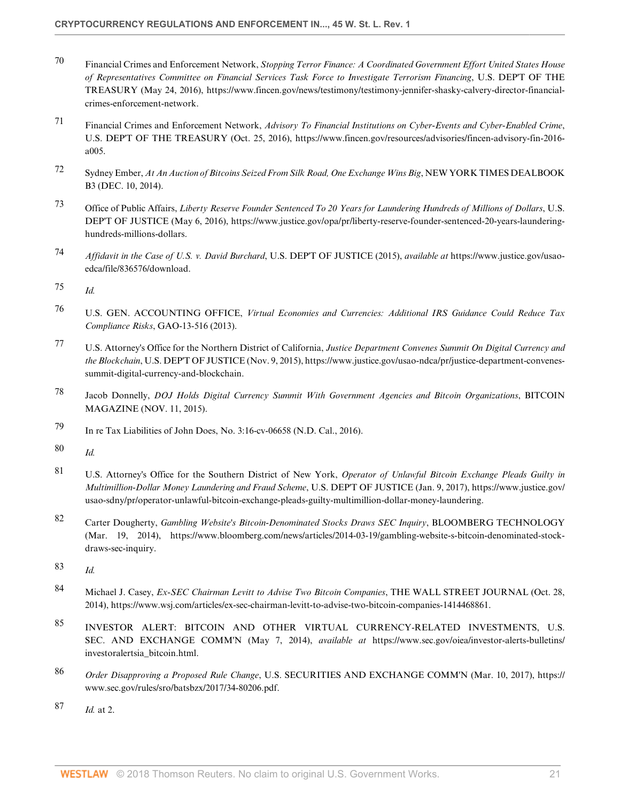- <span id="page-20-0"></span>[70](#page-8-6) Financial Crimes and Enforcement Network, *Stopping Terror Finance: A Coordinated Government Effort United States House of Representatives Committee on Financial Services Task Force to Investigate Terrorism Financing*, U.S. DEP'T OF THE TREASURY (May 24, 2016), https://www.fincen.gov/news/testimony/testimony-jennifer-shasky-calvery-director-financialcrimes-enforcement-network.
- <span id="page-20-1"></span>[71](#page-8-7) Financial Crimes and Enforcement Network, *Advisory To Financial Institutions on Cyber-Events and Cyber-Enabled Crime*, U.S. DEP'T OF THE TREASURY (Oct. 25, 2016), https://www.fincen.gov/resources/advisories/fincen-advisory-fin-2016 a005.
- <span id="page-20-2"></span>[72](#page-8-8) Sydney Ember, *At An Auction of Bitcoins Seized From Silk Road, One Exchange Wins Big*, NEW YORK TIMES DEALBOOK B3 (DEC. 10, 2014).
- <span id="page-20-3"></span>[73](#page-8-9) Office of Public Affairs, *Liberty Reserve Founder Sentenced To 20 Years for Laundering Hundreds of Millions of Dollars*, U.S. DEP'T OF JUSTICE (May 6, 2016), https://www.justice.gov/opa/pr/liberty-reserve-founder-sentenced-20-years-launderinghundreds-millions-dollars.
- <span id="page-20-4"></span>[74](#page-9-0) *Affidavit in the Case of U.S. v. David Burchard*, U.S. DEP'T OF JUSTICE (2015), *available at* https://www.justice.gov/usaoedca/file/836576/download.
- <span id="page-20-5"></span>[75](#page-9-1) *Id.*
- <span id="page-20-6"></span>[76](#page-9-2) U.S. GEN. ACCOUNTING OFFICE, *Virtual Economies and Currencies: Additional IRS Guidance Could Reduce Tax Compliance Risks*, GAO-13-516 (2013).
- <span id="page-20-7"></span>[77](#page-9-3) U.S. Attorney's Office for the Northern District of California, *Justice Department Convenes Summit On Digital Currency and the Blockchain*, U.S. DEP'T OF JUSTICE (Nov. 9, 2015), https://www.justice.gov/usao-ndca/pr/justice-department-convenessummit-digital-currency-and-blockchain.
- <span id="page-20-8"></span>[78](#page-9-4) Jacob Donnelly, *DOJ Holds Digital Currency Summit With Government Agencies and Bitcoin Organizations*, BITCOIN MAGAZINE (NOV. 11, 2015).
- <span id="page-20-9"></span>[79](#page-9-5) In re Tax Liabilities of John Does, No. 3:16-cv-06658 (N.D. Cal., 2016).
- <span id="page-20-10"></span>[80](#page-9-6) *Id.*
- <span id="page-20-11"></span>[81](#page-10-1) U.S. Attorney's Office for the Southern District of New York, *Operator of Unlawful Bitcoin Exchange Pleads Guilty in Multimillion-Dollar Money Laundering and Fraud Scheme*, U.S. DEP'T OF JUSTICE (Jan. 9, 2017), https://www.justice.gov/ usao-sdny/pr/operator-unlawful-bitcoin-exchange-pleads-guilty-multimillion-dollar-money-laundering.
- <span id="page-20-12"></span>[82](#page-10-2) Carter Dougherty, *Gambling Website's Bitcoin-Denominated Stocks Draws SEC Inquiry*, BLOOMBERG TECHNOLOGY (Mar. 19, 2014), https://www.bloomberg.com/news/articles/2014-03-19/gambling-website-s-bitcoin-denominated-stockdraws-sec-inquiry.
- <span id="page-20-13"></span>[83](#page-10-3) *Id.*
- <span id="page-20-14"></span>[84](#page-10-4) Michael J. Casey, *Ex-SEC Chairman Levitt to Advise Two Bitcoin Companies*, THE WALL STREET JOURNAL (Oct. 28, 2014), https://www.wsj.com/articles/ex-sec-chairman-levitt-to-advise-two-bitcoin-companies-1414468861.
- <span id="page-20-15"></span>[85](#page-10-5) INVESTOR ALERT: BITCOIN AND OTHER VIRTUAL CURRENCY-RELATED INVESTMENTS, U.S. SEC. AND EXCHANGE COMM'N (May 7, 2014), *available at* https://www.sec.gov/oiea/investor-alerts-bulletins/ investoralertsia\_bitcoin.html.
- <span id="page-20-16"></span>[86](#page-10-6) *Order Disapproving a Proposed Rule Change*, U.S. SECURITIES AND EXCHANGE COMM'N (Mar. 10, 2017), https:// www.sec.gov/rules/sro/batsbzx/2017/34-80206.pdf.
- <span id="page-20-17"></span>[87](#page-10-7) *Id.* at 2.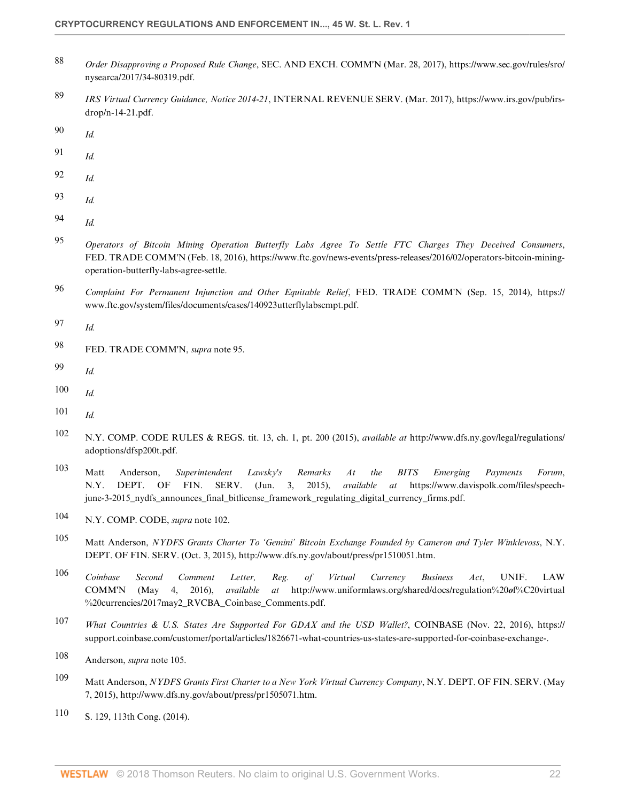- <span id="page-21-0"></span> *Order Disapproving a Proposed Rule Change*, SEC. AND EXCH. COMM'N (Mar. 28, 2017), https://www.sec.gov/rules/sro/ nysearca/2017/34-80319.pdf.
- <span id="page-21-1"></span> *[IRS Virtual Currency Guidance, Notice 2014-21](http://www.westlaw.com/Link/Document/FullText?findType=Y&serNum=2032964719&pubNum=0004502&originatingDoc=If5d353bd53f511e89bf199c0ee06c731&refType=CA&originationContext=document&vr=3.0&rs=cblt1.0&transitionType=DocumentItem&contextData=(sc.Default))*, INTERNAL REVENUE SERV. (Mar. 2017), https://www.irs.gov/pub/irsdrop/n-14-21.pdf.
- <span id="page-21-2"></span>*Id.*
- <span id="page-21-3"></span>*Id.*
- <span id="page-21-4"></span>*Id.*
- <span id="page-21-5"></span>*Id.*
- <span id="page-21-6"></span>*Id.*
- <span id="page-21-7"></span> *Operators of Bitcoin Mining Operation Butterfly Labs Agree To Settle FTC Charges They Deceived Consumers*, FED. TRADE COMM'N (Feb. 18, 2016), https://www.ftc.gov/news-events/press-releases/2016/02/operators-bitcoin-miningoperation-butterfly-labs-agree-settle.
- <span id="page-21-8"></span> *Complaint For Permanent Injunction and Other Equitable Relief*, FED. TRADE COMM'N (Sep. 15, 2014), https:// www.ftc.gov/system/files/documents/cases/140923utterflylabscmpt.pdf.
- <span id="page-21-9"></span>*Id.*
- <span id="page-21-10"></span>FED. TRADE COMM'N, *supra* note 95.
- <span id="page-21-11"></span>*Id.*
- <span id="page-21-12"></span>*Id.*
- <span id="page-21-13"></span>*Id.*
- <span id="page-21-14"></span> N.Y. COMP. CODE RULES & REGS. tit. 13, ch. 1, pt. 200 (2015), *available at* http://www.dfs.ny.gov/legal/regulations/ adoptions/dfsp200t.pdf.
- <span id="page-21-15"></span> Matt Anderson, *Superintendent Lawsky's Remarks At the BITS Emerging Payments Forum*, N.Y. DEPT. OF FIN. SERV. (Jun. 3, 2015), *available at* https://www.davispolk.com/files/speechjune-3-2015\_nydfs\_announces\_final\_bitlicense\_framework\_regulating\_digital\_currency\_firms.pdf.
- <span id="page-21-16"></span>N.Y. COMP. CODE, *supra* note 102.
- <span id="page-21-17"></span> Matt Anderson, *NYDFS Grants Charter To 'Gemini' Bitcoin Exchange Founded by Cameron and Tyler Winklevoss*, N.Y. DEPT. OF FIN. SERV. (Oct. 3, 2015), http://www.dfs.ny.gov/about/press/pr1510051.htm.
- <span id="page-21-18"></span> *Coinbase Second Comment Letter, Reg. of Virtual Currency Business Act*, UNIF. LAW COMM'N (May 4, 2016), *available at* http://www.uniformlaws.org/shared/docs/regulation%20*o*f%C20virtual %20currencies/2017may2\_RVCBA\_Coinbase\_Comments.pdf.
- <span id="page-21-19"></span> *What Countries & U.S. States Are Supported For GDAX and the USD Wallet?*, COINBASE (Nov. 22, 2016), https:// support.coinbase.com/customer/portal/articles/1826671-what-countries-us-states-are-supported-for-coinbase-exchange-.
- <span id="page-21-20"></span>Anderson, *supra* note 105.
- <span id="page-21-21"></span> Matt Anderson, *NYDFS Grants First Charter to a New York Virtual Currency Company*, N.Y. DEPT. OF FIN. SERV. (May 7, 2015), http://www.dfs.ny.gov/about/press/pr1505071.htm.
- <span id="page-21-22"></span>S. 129, 113th Cong. (2014).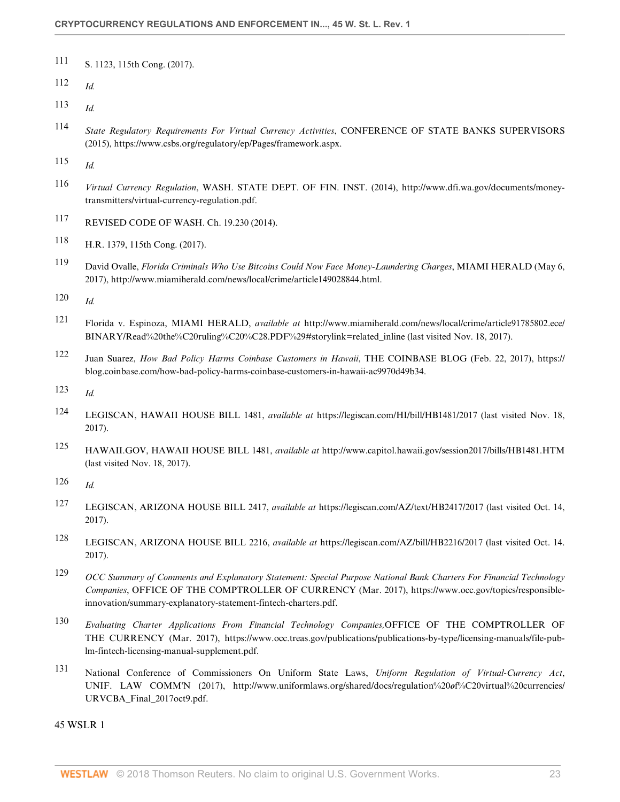- <span id="page-22-0"></span>[111](#page-13-3) S. 1123, 115th Cong. (2017).
- <span id="page-22-1"></span>[112](#page-13-4) *Id.*
- <span id="page-22-2"></span>[113](#page-13-5) *Id.*
- <span id="page-22-3"></span>[114](#page-13-6) *State Regulatory Requirements For Virtual Currency Activities*, CONFERENCE OF STATE BANKS SUPERVISORS (2015), https://www.csbs.org/regulatory/ep/Pages/framework.aspx.
- <span id="page-22-4"></span>[115](#page-13-7) *Id.*
- <span id="page-22-5"></span>[116](#page-13-8) *Virtual Currency Regulation*, WASH. STATE DEPT. OF FIN. INST. (2014), http://www.dfi.wa.gov/documents/moneytransmitters/virtual-currency-regulation.pdf.
- <span id="page-22-6"></span>[117](#page-13-9) REVISED CODE OF WASH. Ch. 19.230 (2014).
- <span id="page-22-7"></span>[118](#page-14-1) H.R. 1379, 115th Cong. (2017).
- <span id="page-22-8"></span>[119](#page-14-2) David Ovalle, *Florida Criminals Who Use Bitcoins Could Now Face Money-Laundering Charges*, MIAMI HERALD (May 6, 2017), http://www.miamiherald.com/news/local/crime/article149028844.html.
- <span id="page-22-9"></span>[120](#page-14-3) *Id.*
- <span id="page-22-10"></span>[121](#page-14-4) Florida v. Espinoza, MIAMI HERALD, *available at* http://www.miamiherald.com/news/local/crime/article91785802.ece/ BINARY/Read%20the%C20ruling%C20%C28.PDF%29#storylink=related\_inline (last visited Nov. 18, 2017).
- <span id="page-22-11"></span>[122](#page-14-5) Juan Suarez, *How Bad Policy Harms Coinbase Customers in Hawaii*, THE COINBASE BLOG (Feb. 22, 2017), https:// blog.coinbase.com/how-bad-policy-harms-coinbase-customers-in-hawaii-ac9970d49b34.
- <span id="page-22-12"></span>[123](#page-14-6) *Id.*
- <span id="page-22-13"></span>[124](#page-14-7) LEGISCAN, HAWAII HOUSE BILL 1481, *available at* https://legiscan.com/HI/bill/HB1481/2017 (last visited Nov. 18, 2017).
- <span id="page-22-14"></span>[125](#page-14-8) HAWAII.GOV, HAWAII HOUSE BILL 1481, *available at* http://www.capitol.hawaii.gov/session2017/bills/HB1481.HTM (last visited Nov. 18, 2017).
- <span id="page-22-15"></span>[126](#page-15-2) *Id.*
- <span id="page-22-16"></span>[127](#page-15-3) LEGISCAN, ARIZONA HOUSE BILL 2417, *available at* https://legiscan.com/AZ/text/HB2417/2017 (last visited Oct. 14, 2017).
- <span id="page-22-17"></span>[128](#page-15-4) LEGISCAN, ARIZONA HOUSE BILL 2216, *available at* https://legiscan.com/AZ/bill/HB2216/2017 (last visited Oct. 14. 2017).
- <span id="page-22-18"></span>[129](#page-15-5) *OCC Summary of Comments and Explanatory Statement: Special Purpose National Bank Charters For Financial Technology Companies*, OFFICE OF THE COMPTROLLER OF CURRENCY (Mar. 2017), https://www.occ.gov/topics/responsibleinnovation/summary-explanatory-statement-fintech-charters.pdf.
- <span id="page-22-19"></span>[130](#page-15-6) *Evaluating Charter Applications From Financial Technology Companies,*OFFICE OF THE COMPTROLLER OF THE CURRENCY (Mar. 2017), https://www.occ.treas.gov/publications/publications-by-type/licensing-manuals/file-publm-fintech-licensing-manual-supplement.pdf.
- <span id="page-22-20"></span>[131](#page-15-7) National Conference of Commissioners On Uniform State Laws, *Uniform Regulation of Virtual-Currency Act*, UNIF. LAW COMM'N (2017), http://www.uniformlaws.org/shared/docs/regulation%20*o*f%C20virtual%20currencies/ URVCBA\_Final\_2017oct9.pdf.

45 WSLR 1